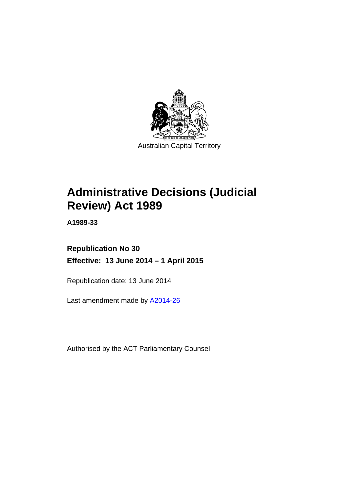

# **Administrative Decisions (Judicial Review) Act 1989**

**A1989-33** 

## **Republication No 30 Effective: 13 June 2014 – 1 April 2015**

Republication date: 13 June 2014

Last amendment made by [A2014-26](http://www.legislation.act.gov.au/a/2014-26)

Authorised by the ACT Parliamentary Counsel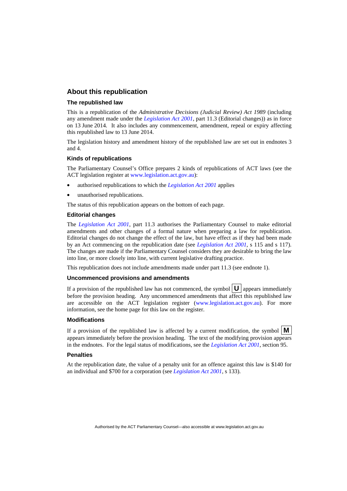#### **About this republication**

#### **The republished law**

This is a republication of the *Administrative Decisions (Judicial Review) Act 1989* (including any amendment made under the *[Legislation Act 2001](http://www.legislation.act.gov.au/a/2001-14)*, part 11.3 (Editorial changes)) as in force on 13 June 2014*.* It also includes any commencement, amendment, repeal or expiry affecting this republished law to 13 June 2014.

The legislation history and amendment history of the republished law are set out in endnotes 3 and 4.

#### **Kinds of republications**

The Parliamentary Counsel's Office prepares 2 kinds of republications of ACT laws (see the ACT legislation register at [www.legislation.act.gov.au](http://www.legislation.act.gov.au/)):

- authorised republications to which the *[Legislation Act 2001](http://www.legislation.act.gov.au/a/2001-14)* applies
- unauthorised republications.

The status of this republication appears on the bottom of each page.

#### **Editorial changes**

The *[Legislation Act 2001](http://www.legislation.act.gov.au/a/2001-14)*, part 11.3 authorises the Parliamentary Counsel to make editorial amendments and other changes of a formal nature when preparing a law for republication. Editorial changes do not change the effect of the law, but have effect as if they had been made by an Act commencing on the republication date (see *[Legislation Act 2001](http://www.legislation.act.gov.au/a/2001-14)*, s 115 and s 117). The changes are made if the Parliamentary Counsel considers they are desirable to bring the law into line, or more closely into line, with current legislative drafting practice.

This republication does not include amendments made under part 11.3 (see endnote 1).

#### **Uncommenced provisions and amendments**

If a provision of the republished law has not commenced, the symbol  $\mathbf{U}$  appears immediately before the provision heading. Any uncommenced amendments that affect this republished law are accessible on the ACT legislation register [\(www.legislation.act.gov.au\)](http://www.legislation.act.gov.au/). For more information, see the home page for this law on the register.

#### **Modifications**

If a provision of the republished law is affected by a current modification, the symbol  $\mathbf{M}$ appears immediately before the provision heading. The text of the modifying provision appears in the endnotes. For the legal status of modifications, see the *[Legislation Act 2001](http://www.legislation.act.gov.au/a/2001-14)*, section 95.

#### **Penalties**

At the republication date, the value of a penalty unit for an offence against this law is \$140 for an individual and \$700 for a corporation (see *[Legislation Act 2001](http://www.legislation.act.gov.au/a/2001-14)*, s 133).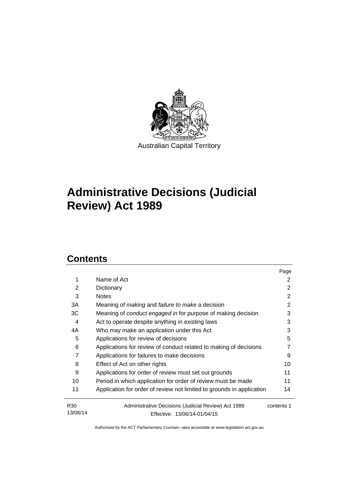

# **Administrative Decisions (Judicial Review) Act 1989**

## **Contents**

|                             |                                                                       | Page       |
|-----------------------------|-----------------------------------------------------------------------|------------|
| 1                           | Name of Act                                                           | 2          |
| 2                           | Dictionary                                                            | 2          |
| 3                           | <b>Notes</b>                                                          | 2          |
| 3A                          | Meaning of <i>making</i> and <i>failure to make</i> a decision        | 2          |
| 3C                          | Meaning of conduct engaged in for purpose of making decision          | 3          |
| 4                           | Act to operate despite anything in existing laws                      | 3          |
| 4A                          | Who may make an application under this Act                            | 3          |
| 5                           | Applications for review of decisions                                  | 5          |
| 6                           | Applications for review of conduct related to making of decisions     |            |
| 7                           | Applications for failures to make decisions                           | 9          |
| 8                           | Effect of Act on other rights                                         | 10         |
| 9                           | Applications for order of review must set out grounds                 | 11         |
| 10                          | Period in which application for order of review must be made          | 11         |
| 11                          | Application for order of review not limited to grounds in application | 14         |
| R <sub>30</sub><br>13/06/14 | Administrative Decisions (Judicial Review) Act 1989                   | contents 1 |
|                             | Effective: 13/06/14-01/04/15                                          |            |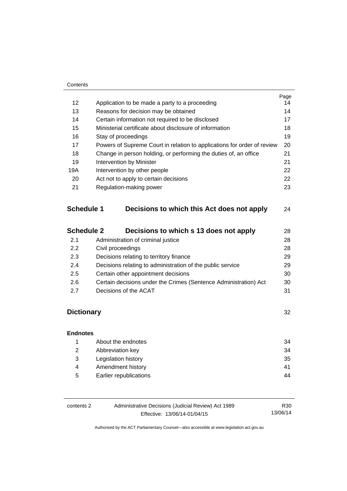#### **Contents**

|                   |                                                                         | Page |
|-------------------|-------------------------------------------------------------------------|------|
| 12 <sup>2</sup>   | Application to be made a party to a proceeding                          | 14   |
| 13                | Reasons for decision may be obtained                                    | 14   |
| 14                | Certain information not required to be disclosed                        | 17   |
| 15                | Ministerial certificate about disclosure of information                 | 18   |
| 16                | Stay of proceedings                                                     | 19   |
| 17                | Powers of Supreme Court in relation to applications for order of review | 20   |
| 18                | Change in person holding, or performing the duties of, an office        | 21   |
| 19                | Intervention by Minister                                                |      |
| 19A               | Intervention by other people                                            |      |
| 20                | Act not to apply to certain decisions                                   |      |
| 21                | Regulation-making power                                                 | 23   |
| <b>Schedule 1</b> | Decisions to which this Act does not apply                              | 24   |
| <b>Schedule 2</b> | Decisions to which s 13 does not apply                                  | 28   |

| 2.1 | Administration of criminal justice                               | 28 |
|-----|------------------------------------------------------------------|----|
| 2.2 | Civil proceedings                                                | 28 |
| 2.3 | Decisions relating to territory finance                          | 29 |
| 2.4 | Decisions relating to administration of the public service       | 29 |
| 2.5 | Certain other appointment decisions                              | 30 |
| 2.6 | Certain decisions under the Crimes (Sentence Administration) Act | 30 |
| 27  | Decisions of the ACAT                                            | 31 |
|     |                                                                  |    |

## **[Dictionary](#page-35-0)** [32](#page-35-0)

| <b>Endnotes</b> |                        |     |
|-----------------|------------------------|-----|
|                 | About the endnotes     | 34  |
| 2               | Abbreviation key       | 34  |
| 3               | Legislation history    | -35 |
| 4               | Amendment history      | 41  |
| 5               | Earlier republications | 44  |

| contents 2 | Administrative Decisions (Judicial Review) Act 1989 | R30      |
|------------|-----------------------------------------------------|----------|
|            | Effective: 13/06/14-01/04/15                        | 13/06/14 |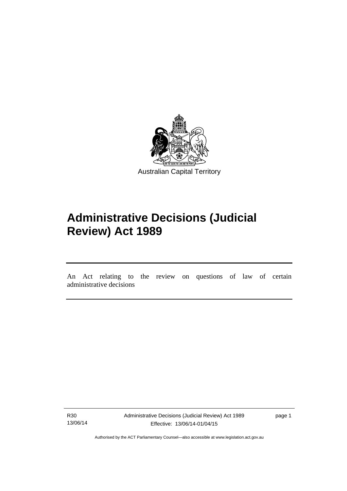

# **Administrative Decisions (Judicial Review) Act 1989**

An Act relating to the review on questions of law of certain administrative decisions

R30 13/06/14

l

Administrative Decisions (Judicial Review) Act 1989 Effective: 13/06/14-01/04/15

page 1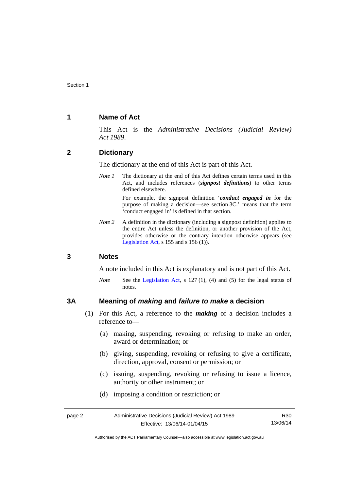#### <span id="page-5-0"></span>**1 Name of Act**

This Act is the *Administrative Decisions (Judicial Review) Act 1989*.

#### <span id="page-5-1"></span>**2 Dictionary**

The dictionary at the end of this Act is part of this Act.

*Note 1* The dictionary at the end of this Act defines certain terms used in this Act, and includes references (*signpost definitions*) to other terms defined elsewhere.

> For example, the signpost definition '*conduct engaged in* for the purpose of making a decision—see section 3C.' means that the term 'conduct engaged in' is defined in that section.

*Note 2* A definition in the dictionary (including a signpost definition) applies to the entire Act unless the definition, or another provision of the Act, provides otherwise or the contrary intention otherwise appears (see [Legislation Act,](http://www.legislation.act.gov.au/a/2001-14) s  $155$  and s  $156$  (1)).

#### <span id="page-5-2"></span>**3 Notes**

A note included in this Act is explanatory and is not part of this Act.

*Note* See the [Legislation Act,](http://www.legislation.act.gov.au/a/2001-14) s 127 (1), (4) and (5) for the legal status of notes.

#### <span id="page-5-3"></span>**3A Meaning of** *making* **and** *failure to make* **a decision**

- (1) For this Act, a reference to the *making* of a decision includes a reference to—
	- (a) making, suspending, revoking or refusing to make an order, award or determination; or
	- (b) giving, suspending, revoking or refusing to give a certificate, direction, approval, consent or permission; or
	- (c) issuing, suspending, revoking or refusing to issue a licence, authority or other instrument; or
	- (d) imposing a condition or restriction; or

| page 2 | Administrative Decisions (Judicial Review) Act 1989 | R30      |
|--------|-----------------------------------------------------|----------|
|        | Effective: 13/06/14-01/04/15                        | 13/06/14 |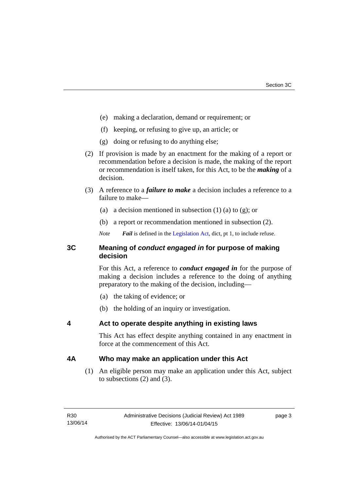- (e) making a declaration, demand or requirement; or
- (f) keeping, or refusing to give up, an article; or
- (g) doing or refusing to do anything else;
- (2) If provision is made by an enactment for the making of a report or recommendation before a decision is made, the making of the report or recommendation is itself taken, for this Act, to be the *making* of a decision.
- (3) A reference to a *failure to make* a decision includes a reference to a failure to make—
	- (a) a decision mentioned in subsection  $(1)$  (a) to  $(g)$ ; or
	- (b) a report or recommendation mentioned in subsection (2).
	- *Note Fail* is defined in the [Legislation Act](http://www.legislation.act.gov.au/a/2001-14), dict, pt 1, to include refuse.

#### <span id="page-6-0"></span>**3C Meaning of** *conduct engaged in* **for purpose of making decision**

For this Act, a reference to *conduct engaged in* for the purpose of making a decision includes a reference to the doing of anything preparatory to the making of the decision, including—

- (a) the taking of evidence; or
- (b) the holding of an inquiry or investigation.

#### <span id="page-6-1"></span>**4 Act to operate despite anything in existing laws**

This Act has effect despite anything contained in any enactment in force at the commencement of this Act.

#### <span id="page-6-2"></span>**4A Who may make an application under this Act**

(1) An eligible person may make an application under this Act, subject to subsections (2) and (3).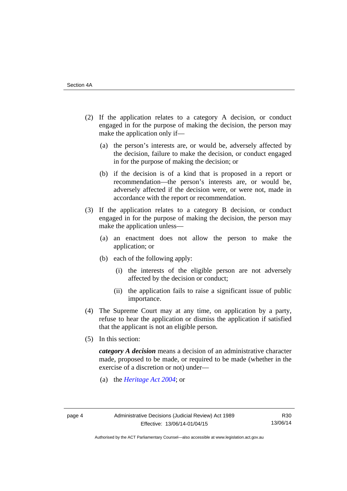- (2) If the application relates to a category A decision, or conduct engaged in for the purpose of making the decision, the person may make the application only if—
	- (a) the person's interests are, or would be, adversely affected by the decision, failure to make the decision, or conduct engaged in for the purpose of making the decision; or
	- (b) if the decision is of a kind that is proposed in a report or recommendation—the person's interests are, or would be, adversely affected if the decision were, or were not, made in accordance with the report or recommendation.
- (3) If the application relates to a category B decision, or conduct engaged in for the purpose of making the decision, the person may make the application unless—
	- (a) an enactment does not allow the person to make the application; or
	- (b) each of the following apply:
		- (i) the interests of the eligible person are not adversely affected by the decision or conduct;
		- (ii) the application fails to raise a significant issue of public importance.
- (4) The Supreme Court may at any time, on application by a party, refuse to hear the application or dismiss the application if satisfied that the applicant is not an eligible person.
- (5) In this section:

*category A decision* means a decision of an administrative character made, proposed to be made, or required to be made (whether in the exercise of a discretion or not) under—

(a) the *[Heritage Act 2004](http://www.legislation.act.gov.au/a/2004-57/default.asp)*; or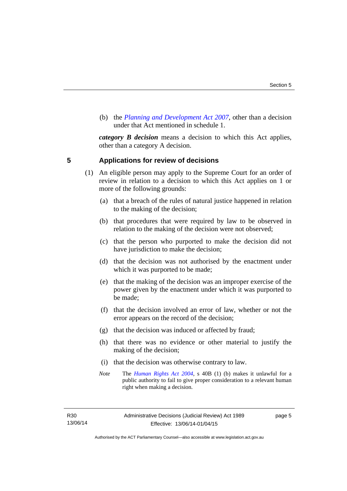(b) the *[Planning and Development Act 2007](http://www.legislation.act.gov.au/a/2007-24/default.asp)*, other than a decision under that Act mentioned in schedule 1.

*category B decision* means a decision to which this Act applies, other than a category A decision.

#### <span id="page-8-0"></span>**5 Applications for review of decisions**

- (1) An eligible person may apply to the Supreme Court for an order of review in relation to a decision to which this Act applies on 1 or more of the following grounds:
	- (a) that a breach of the rules of natural justice happened in relation to the making of the decision;
	- (b) that procedures that were required by law to be observed in relation to the making of the decision were not observed;
	- (c) that the person who purported to make the decision did not have jurisdiction to make the decision;
	- (d) that the decision was not authorised by the enactment under which it was purported to be made;
	- (e) that the making of the decision was an improper exercise of the power given by the enactment under which it was purported to be made;
	- (f) that the decision involved an error of law, whether or not the error appears on the record of the decision;
	- (g) that the decision was induced or affected by fraud;
	- (h) that there was no evidence or other material to justify the making of the decision;
	- (i) that the decision was otherwise contrary to law.
	- *Note* The *[Human Rights Act 2004](http://www.legislation.act.gov.au/a/2004-5)*, s 40B (1) (b) makes it unlawful for a public authority to fail to give proper consideration to a relevant human right when making a decision.

R30 13/06/14 page 5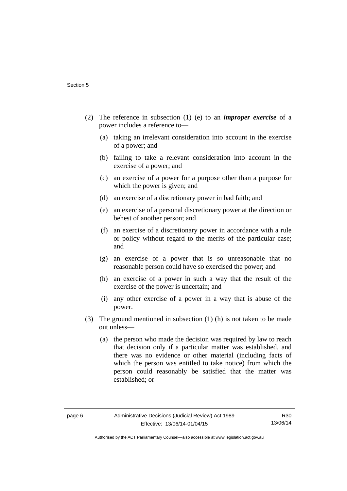- (2) The reference in subsection (1) (e) to an *improper exercise* of a power includes a reference to—
	- (a) taking an irrelevant consideration into account in the exercise of a power; and
	- (b) failing to take a relevant consideration into account in the exercise of a power; and
	- (c) an exercise of a power for a purpose other than a purpose for which the power is given; and
	- (d) an exercise of a discretionary power in bad faith; and
	- (e) an exercise of a personal discretionary power at the direction or behest of another person; and
	- (f) an exercise of a discretionary power in accordance with a rule or policy without regard to the merits of the particular case; and
	- (g) an exercise of a power that is so unreasonable that no reasonable person could have so exercised the power; and
	- (h) an exercise of a power in such a way that the result of the exercise of the power is uncertain; and
	- (i) any other exercise of a power in a way that is abuse of the power.
- (3) The ground mentioned in subsection (1) (h) is not taken to be made out unless—
	- (a) the person who made the decision was required by law to reach that decision only if a particular matter was established, and there was no evidence or other material (including facts of which the person was entitled to take notice) from which the person could reasonably be satisfied that the matter was established; or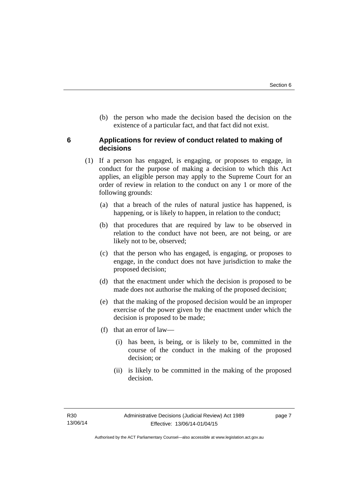(b) the person who made the decision based the decision on the existence of a particular fact, and that fact did not exist.

#### <span id="page-10-0"></span>**6 Applications for review of conduct related to making of decisions**

- (1) If a person has engaged, is engaging, or proposes to engage, in conduct for the purpose of making a decision to which this Act applies, an eligible person may apply to the Supreme Court for an order of review in relation to the conduct on any 1 or more of the following grounds:
	- (a) that a breach of the rules of natural justice has happened, is happening, or is likely to happen, in relation to the conduct;
	- (b) that procedures that are required by law to be observed in relation to the conduct have not been, are not being, or are likely not to be, observed;
	- (c) that the person who has engaged, is engaging, or proposes to engage, in the conduct does not have jurisdiction to make the proposed decision;
	- (d) that the enactment under which the decision is proposed to be made does not authorise the making of the proposed decision;
	- (e) that the making of the proposed decision would be an improper exercise of the power given by the enactment under which the decision is proposed to be made;
	- (f) that an error of law—
		- (i) has been, is being, or is likely to be, committed in the course of the conduct in the making of the proposed decision; or
		- (ii) is likely to be committed in the making of the proposed decision.

page 7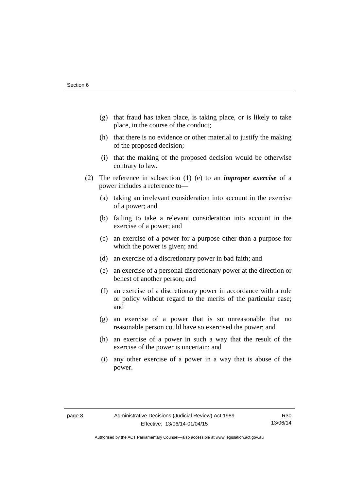- (g) that fraud has taken place, is taking place, or is likely to take place, in the course of the conduct;
- (h) that there is no evidence or other material to justify the making of the proposed decision;
- (i) that the making of the proposed decision would be otherwise contrary to law.
- (2) The reference in subsection (1) (e) to an *improper exercise* of a power includes a reference to—
	- (a) taking an irrelevant consideration into account in the exercise of a power; and
	- (b) failing to take a relevant consideration into account in the exercise of a power; and
	- (c) an exercise of a power for a purpose other than a purpose for which the power is given; and
	- (d) an exercise of a discretionary power in bad faith; and
	- (e) an exercise of a personal discretionary power at the direction or behest of another person; and
	- (f) an exercise of a discretionary power in accordance with a rule or policy without regard to the merits of the particular case; and
	- (g) an exercise of a power that is so unreasonable that no reasonable person could have so exercised the power; and
	- (h) an exercise of a power in such a way that the result of the exercise of the power is uncertain; and
	- (i) any other exercise of a power in a way that is abuse of the power.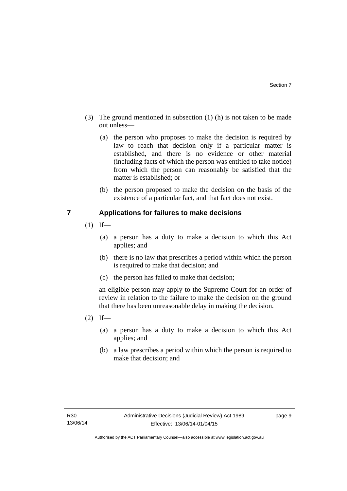- (3) The ground mentioned in subsection (1) (h) is not taken to be made out unless—
	- (a) the person who proposes to make the decision is required by law to reach that decision only if a particular matter is established, and there is no evidence or other material (including facts of which the person was entitled to take notice) from which the person can reasonably be satisfied that the matter is established; or
	- (b) the person proposed to make the decision on the basis of the existence of a particular fact, and that fact does not exist.

#### <span id="page-12-0"></span>**7 Applications for failures to make decisions**

- $(1)$  If—
	- (a) a person has a duty to make a decision to which this Act applies; and
	- (b) there is no law that prescribes a period within which the person is required to make that decision; and
	- (c) the person has failed to make that decision;

an eligible person may apply to the Supreme Court for an order of review in relation to the failure to make the decision on the ground that there has been unreasonable delay in making the decision.

- $(2)$  If—
	- (a) a person has a duty to make a decision to which this Act applies; and
	- (b) a law prescribes a period within which the person is required to make that decision; and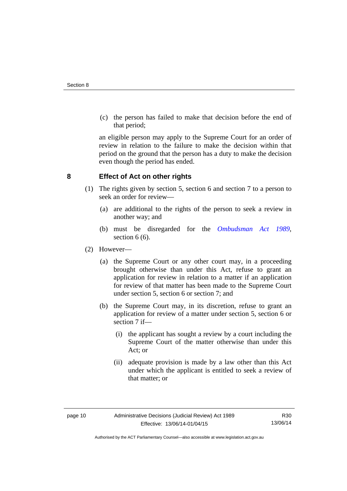(c) the person has failed to make that decision before the end of that period;

an eligible person may apply to the Supreme Court for an order of review in relation to the failure to make the decision within that period on the ground that the person has a duty to make the decision even though the period has ended.

#### <span id="page-13-0"></span>**8 Effect of Act on other rights**

- (1) The rights given by section 5, section 6 and section 7 to a person to seek an order for review—
	- (a) are additional to the rights of the person to seek a review in another way; and
	- (b) must be disregarded for the *[Ombudsman Act 1989](http://www.legislation.act.gov.au/a/alt_a1989-45co)*, section 6 (6).
- (2) However—
	- (a) the Supreme Court or any other court may, in a proceeding brought otherwise than under this Act, refuse to grant an application for review in relation to a matter if an application for review of that matter has been made to the Supreme Court under section 5, section 6 or section 7; and
	- (b) the Supreme Court may, in its discretion, refuse to grant an application for review of a matter under section 5, section 6 or section 7 if—
		- (i) the applicant has sought a review by a court including the Supreme Court of the matter otherwise than under this Act; or
		- (ii) adequate provision is made by a law other than this Act under which the applicant is entitled to seek a review of that matter; or

Authorised by the ACT Parliamentary Counsel—also accessible at www.legislation.act.gov.au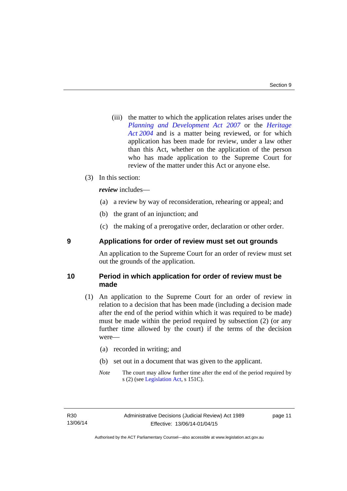(iii) the matter to which the application relates arises under the *[Planning and Development Act 2007](http://www.legislation.act.gov.au/a/2007-24)* or the *[Heritage](http://www.legislation.act.gov.au/a/2004-57)  [Act 2004](http://www.legislation.act.gov.au/a/2004-57)* and is a matter being reviewed, or for which application has been made for review, under a law other than this Act, whether on the application of the person who has made application to the Supreme Court for review of the matter under this Act or anyone else.

#### (3) In this section:

*review* includes—

- (a) a review by way of reconsideration, rehearing or appeal; and
- (b) the grant of an injunction; and
- (c) the making of a prerogative order, declaration or other order.

#### <span id="page-14-0"></span>**9 Applications for order of review must set out grounds**

An application to the Supreme Court for an order of review must set out the grounds of the application.

#### <span id="page-14-1"></span>**10 Period in which application for order of review must be made**

- (1) An application to the Supreme Court for an order of review in relation to a decision that has been made (including a decision made after the end of the period within which it was required to be made) must be made within the period required by subsection (2) (or any further time allowed by the court) if the terms of the decision were—
	- (a) recorded in writing; and
	- (b) set out in a document that was given to the applicant.
	- *Note* The court may allow further time after the end of the period required by s (2) (see [Legislation Act](http://www.legislation.act.gov.au/a/2001-14), s 151C).

page 11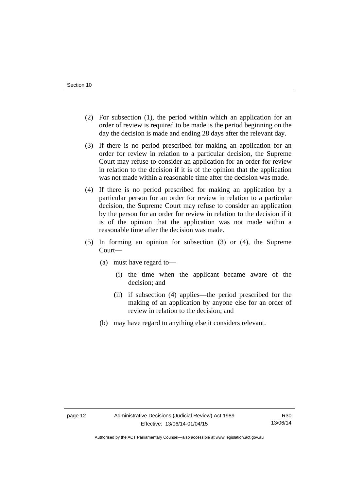- (2) For subsection (1), the period within which an application for an order of review is required to be made is the period beginning on the day the decision is made and ending 28 days after the relevant day.
- (3) If there is no period prescribed for making an application for an order for review in relation to a particular decision, the Supreme Court may refuse to consider an application for an order for review in relation to the decision if it is of the opinion that the application was not made within a reasonable time after the decision was made.
- (4) If there is no period prescribed for making an application by a particular person for an order for review in relation to a particular decision, the Supreme Court may refuse to consider an application by the person for an order for review in relation to the decision if it is of the opinion that the application was not made within a reasonable time after the decision was made.
- (5) In forming an opinion for subsection (3) or (4), the Supreme Court—
	- (a) must have regard to—
		- (i) the time when the applicant became aware of the decision; and
		- (ii) if subsection (4) applies—the period prescribed for the making of an application by anyone else for an order of review in relation to the decision; and
	- (b) may have regard to anything else it considers relevant.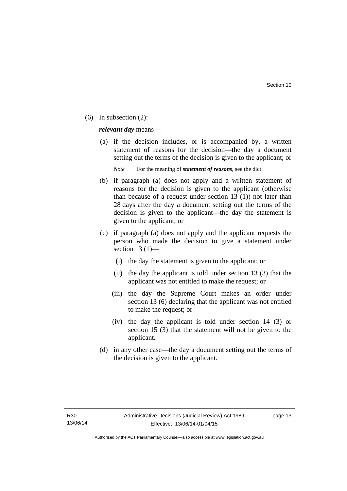(6) In subsection (2):

*relevant day* means—

 (a) if the decision includes, or is accompanied by, a written statement of reasons for the decision—the day a document setting out the terms of the decision is given to the applicant; or

*Note* For the meaning of *statement of reasons*, see the dict.

- (b) if paragraph (a) does not apply and a written statement of reasons for the decision is given to the applicant (otherwise than because of a request under section 13 (1)) not later than 28 days after the day a document setting out the terms of the decision is given to the applicant—the day the statement is given to the applicant; or
- (c) if paragraph (a) does not apply and the applicant requests the person who made the decision to give a statement under section 13 $(1)$ —
	- (i) the day the statement is given to the applicant; or
	- (ii) the day the applicant is told under section 13 (3) that the applicant was not entitled to make the request; or
	- (iii) the day the Supreme Court makes an order under section 13 (6) declaring that the applicant was not entitled to make the request; or
	- (iv) the day the applicant is told under section 14 (3) or section 15 (3) that the statement will not be given to the applicant.
- (d) in any other case—the day a document setting out the terms of the decision is given to the applicant.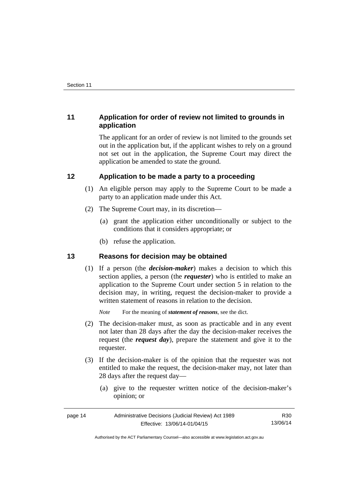#### <span id="page-17-0"></span>**11 Application for order of review not limited to grounds in application**

The applicant for an order of review is not limited to the grounds set out in the application but, if the applicant wishes to rely on a ground not set out in the application, the Supreme Court may direct the application be amended to state the ground.

#### <span id="page-17-1"></span>**12 Application to be made a party to a proceeding**

- (1) An eligible person may apply to the Supreme Court to be made a party to an application made under this Act.
- (2) The Supreme Court may, in its discretion—
	- (a) grant the application either unconditionally or subject to the conditions that it considers appropriate; or
	- (b) refuse the application.

#### <span id="page-17-2"></span>**13 Reasons for decision may be obtained**

(1) If a person (the *decision-maker*) makes a decision to which this section applies, a person (the *requester*) who is entitled to make an application to the Supreme Court under section 5 in relation to the decision may, in writing, request the decision-maker to provide a written statement of reasons in relation to the decision.

*Note* For the meaning of *statement of reasons*, see the dict.

- (2) The decision-maker must, as soon as practicable and in any event not later than 28 days after the day the decision-maker receives the request (the *request day*), prepare the statement and give it to the requester.
- (3) If the decision-maker is of the opinion that the requester was not entitled to make the request, the decision-maker may, not later than 28 days after the request day—
	- (a) give to the requester written notice of the decision-maker's opinion; or

| page 14 | Administrative Decisions (Judicial Review) Act 1989 | R30      |
|---------|-----------------------------------------------------|----------|
|         | Effective: 13/06/14-01/04/15                        | 13/06/14 |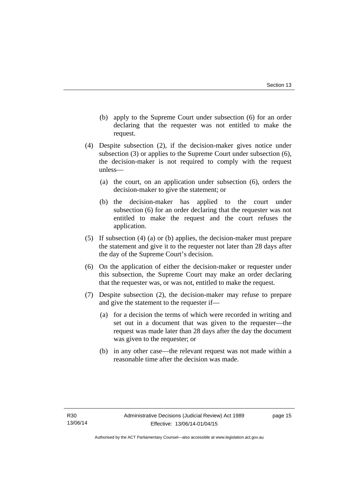- (b) apply to the Supreme Court under subsection (6) for an order declaring that the requester was not entitled to make the request.
- (4) Despite subsection (2), if the decision-maker gives notice under subsection (3) or applies to the Supreme Court under subsection (6), the decision-maker is not required to comply with the request unless—
	- (a) the court, on an application under subsection (6), orders the decision-maker to give the statement; or
	- (b) the decision-maker has applied to the court under subsection (6) for an order declaring that the requester was not entitled to make the request and the court refuses the application.
- (5) If subsection (4) (a) or (b) applies, the decision-maker must prepare the statement and give it to the requester not later than 28 days after the day of the Supreme Court's decision.
- (6) On the application of either the decision-maker or requester under this subsection, the Supreme Court may make an order declaring that the requester was, or was not, entitled to make the request.
- (7) Despite subsection (2), the decision-maker may refuse to prepare and give the statement to the requester if—
	- (a) for a decision the terms of which were recorded in writing and set out in a document that was given to the requester—the request was made later than 28 days after the day the document was given to the requester; or
	- (b) in any other case—the relevant request was not made within a reasonable time after the decision was made.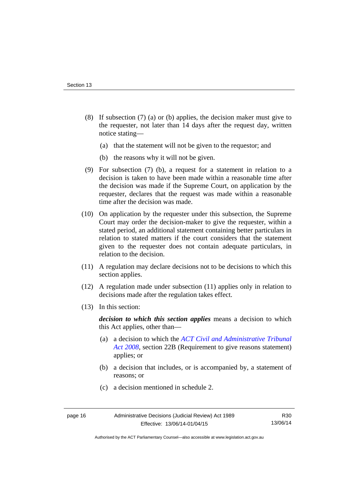- (8) If subsection (7) (a) or (b) applies, the decision maker must give to the requester, not later than 14 days after the request day, written notice stating—
	- (a) that the statement will not be given to the requestor; and
	- (b) the reasons why it will not be given.
- (9) For subsection (7) (b), a request for a statement in relation to a decision is taken to have been made within a reasonable time after the decision was made if the Supreme Court, on application by the requester, declares that the request was made within a reasonable time after the decision was made.
- (10) On application by the requester under this subsection, the Supreme Court may order the decision-maker to give the requester, within a stated period, an additional statement containing better particulars in relation to stated matters if the court considers that the statement given to the requester does not contain adequate particulars, in relation to the decision.
- (11) A regulation may declare decisions not to be decisions to which this section applies.
- (12) A regulation made under subsection (11) applies only in relation to decisions made after the regulation takes effect.
- (13) In this section:

*decision to which this section applies* means a decision to which this Act applies, other than—

- (a) a decision to which the *[ACT Civil and Administrative Tribunal](http://www.legislation.act.gov.au/a/2008-35)  [Act 2008](http://www.legislation.act.gov.au/a/2008-35)*, section 22B (Requirement to give reasons statement) applies; or
- (b) a decision that includes, or is accompanied by, a statement of reasons; or
- (c) a decision mentioned in schedule 2.

R30 13/06/14

Authorised by the ACT Parliamentary Counsel—also accessible at www.legislation.act.gov.au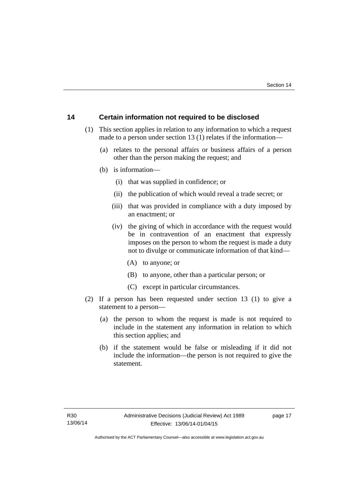#### <span id="page-20-0"></span>**14 Certain information not required to be disclosed**

- (1) This section applies in relation to any information to which a request made to a person under section 13 (1) relates if the information—
	- (a) relates to the personal affairs or business affairs of a person other than the person making the request; and
	- (b) is information—
		- (i) that was supplied in confidence; or
		- (ii) the publication of which would reveal a trade secret; or
		- (iii) that was provided in compliance with a duty imposed by an enactment; or
		- (iv) the giving of which in accordance with the request would be in contravention of an enactment that expressly imposes on the person to whom the request is made a duty not to divulge or communicate information of that kind—
			- (A) to anyone; or
			- (B) to anyone, other than a particular person; or
			- (C) except in particular circumstances.
- (2) If a person has been requested under section 13 (1) to give a statement to a person—
	- (a) the person to whom the request is made is not required to include in the statement any information in relation to which this section applies; and
	- (b) if the statement would be false or misleading if it did not include the information—the person is not required to give the statement.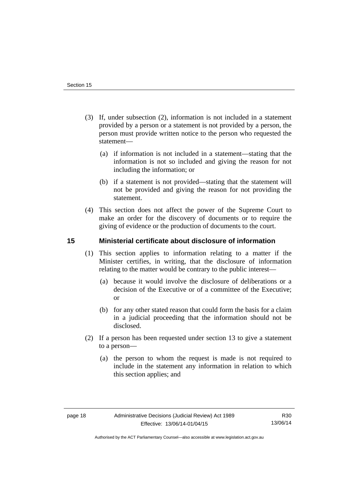- (3) If, under subsection (2), information is not included in a statement provided by a person or a statement is not provided by a person, the person must provide written notice to the person who requested the statement—
	- (a) if information is not included in a statement—stating that the information is not so included and giving the reason for not including the information; or
	- (b) if a statement is not provided—stating that the statement will not be provided and giving the reason for not providing the statement.
- (4) This section does not affect the power of the Supreme Court to make an order for the discovery of documents or to require the giving of evidence or the production of documents to the court.

#### <span id="page-21-0"></span>**15 Ministerial certificate about disclosure of information**

- (1) This section applies to information relating to a matter if the Minister certifies, in writing, that the disclosure of information relating to the matter would be contrary to the public interest—
	- (a) because it would involve the disclosure of deliberations or a decision of the Executive or of a committee of the Executive; or
	- (b) for any other stated reason that could form the basis for a claim in a judicial proceeding that the information should not be disclosed.
- (2) If a person has been requested under section 13 to give a statement to a person—
	- (a) the person to whom the request is made is not required to include in the statement any information in relation to which this section applies; and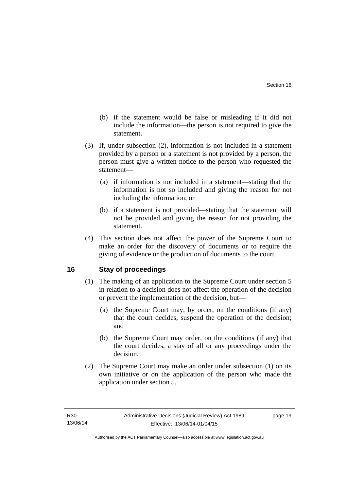- (b) if the statement would be false or misleading if it did not include the information—the person is not required to give the statement.
- (3) If, under subsection (2), information is not included in a statement provided by a person or a statement is not provided by a person, the person must give a written notice to the person who requested the statement—
	- (a) if information is not included in a statement—stating that the information is not so included and giving the reason for not including the information; or
	- (b) if a statement is not provided—stating that the statement will not be provided and giving the reason for not providing the statement.
- (4) This section does not affect the power of the Supreme Court to make an order for the discovery of documents or to require the giving of evidence or the production of documents to the court.

#### <span id="page-22-0"></span>**16 Stay of proceedings**

- (1) The making of an application to the Supreme Court under section 5 in relation to a decision does not affect the operation of the decision or prevent the implementation of the decision, but—
	- (a) the Supreme Court may, by order, on the conditions (if any) that the court decides, suspend the operation of the decision; and
	- (b) the Supreme Court may order, on the conditions (if any) that the court decides, a stay of all or any proceedings under the decision.
- (2) The Supreme Court may make an order under subsection (1) on its own initiative or on the application of the person who made the application under section 5.

page 19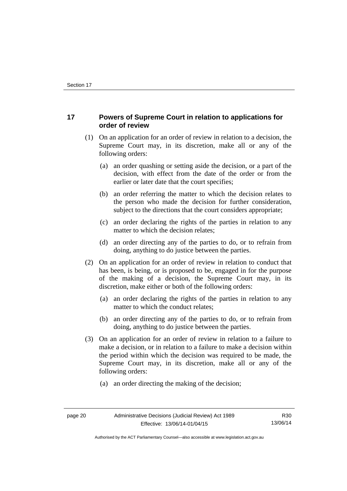#### <span id="page-23-0"></span>**17 Powers of Supreme Court in relation to applications for order of review**

- (1) On an application for an order of review in relation to a decision, the Supreme Court may, in its discretion, make all or any of the following orders:
	- (a) an order quashing or setting aside the decision, or a part of the decision, with effect from the date of the order or from the earlier or later date that the court specifies;
	- (b) an order referring the matter to which the decision relates to the person who made the decision for further consideration, subject to the directions that the court considers appropriate;
	- (c) an order declaring the rights of the parties in relation to any matter to which the decision relates;
	- (d) an order directing any of the parties to do, or to refrain from doing, anything to do justice between the parties.
- (2) On an application for an order of review in relation to conduct that has been, is being, or is proposed to be, engaged in for the purpose of the making of a decision, the Supreme Court may, in its discretion, make either or both of the following orders:
	- (a) an order declaring the rights of the parties in relation to any matter to which the conduct relates;
	- (b) an order directing any of the parties to do, or to refrain from doing, anything to do justice between the parties.
- (3) On an application for an order of review in relation to a failure to make a decision, or in relation to a failure to make a decision within the period within which the decision was required to be made, the Supreme Court may, in its discretion, make all or any of the following orders:
	- (a) an order directing the making of the decision;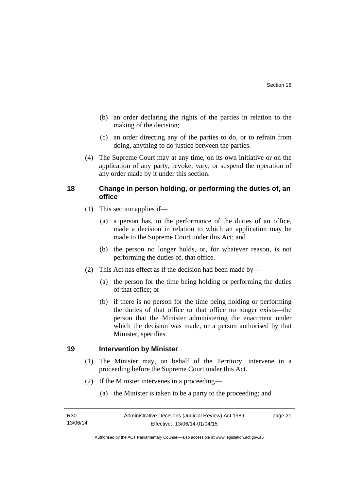- (b) an order declaring the rights of the parties in relation to the making of the decision;
- (c) an order directing any of the parties to do, or to refrain from doing, anything to do justice between the parties.
- (4) The Supreme Court may at any time, on its own initiative or on the application of any party, revoke, vary, or suspend the operation of any order made by it under this section.

#### <span id="page-24-0"></span>**18 Change in person holding, or performing the duties of, an office**

- (1) This section applies if—
	- (a) a person has, in the performance of the duties of an office, made a decision in relation to which an application may be made to the Supreme Court under this Act; and
	- (b) the person no longer holds, or, for whatever reason, is not performing the duties of, that office.
- (2) This Act has effect as if the decision had been made by—
	- (a) the person for the time being holding or performing the duties of that office; or
	- (b) if there is no person for the time being holding or performing the duties of that office or that office no longer exists—the person that the Minister administering the enactment under which the decision was made, or a person authorised by that Minister, specifies.

#### <span id="page-24-1"></span>**19 Intervention by Minister**

- (1) The Minister may, on behalf of the Territory, intervene in a proceeding before the Supreme Court under this Act.
- (2) If the Minister intervenes in a proceeding—
	- (a) the Minister is taken to be a party to the proceeding; and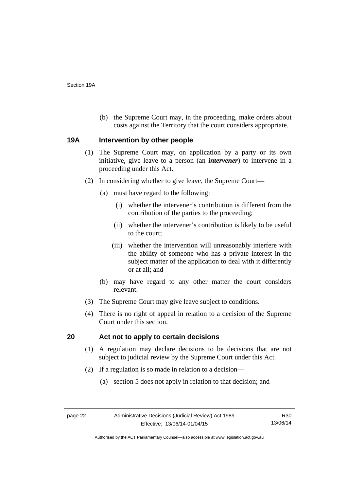(b) the Supreme Court may, in the proceeding, make orders about costs against the Territory that the court considers appropriate.

#### <span id="page-25-0"></span>**19A Intervention by other people**

- (1) The Supreme Court may, on application by a party or its own initiative, give leave to a person (an *intervener*) to intervene in a proceeding under this Act.
- (2) In considering whether to give leave, the Supreme Court—
	- (a) must have regard to the following:
		- (i) whether the intervener's contribution is different from the contribution of the parties to the proceeding;
		- (ii) whether the intervener's contribution is likely to be useful to the court;
		- (iii) whether the intervention will unreasonably interfere with the ability of someone who has a private interest in the subject matter of the application to deal with it differently or at all; and
	- (b) may have regard to any other matter the court considers relevant.
- (3) The Supreme Court may give leave subject to conditions.
- (4) There is no right of appeal in relation to a decision of the Supreme Court under this section.

### <span id="page-25-1"></span>**20 Act not to apply to certain decisions**

- (1) A regulation may declare decisions to be decisions that are not subject to judicial review by the Supreme Court under this Act.
- (2) If a regulation is so made in relation to a decision—
	- (a) section 5 does not apply in relation to that decision; and

Authorised by the ACT Parliamentary Counsel—also accessible at www.legislation.act.gov.au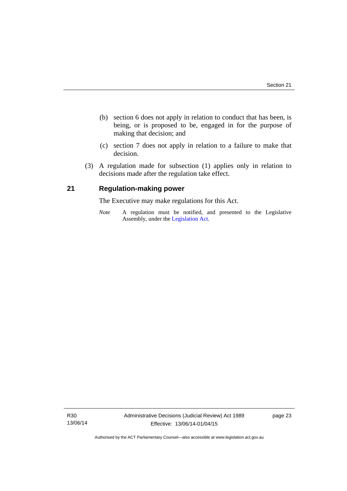- (b) section 6 does not apply in relation to conduct that has been, is being, or is proposed to be, engaged in for the purpose of making that decision; and
- (c) section 7 does not apply in relation to a failure to make that decision.
- (3) A regulation made for subsection (1) applies only in relation to decisions made after the regulation take effect.

#### <span id="page-26-0"></span>**21 Regulation-making power**

The Executive may make regulations for this Act.

*Note* A regulation must be notified, and presented to the Legislative Assembly, under the [Legislation Act](http://www.legislation.act.gov.au/a/2001-14).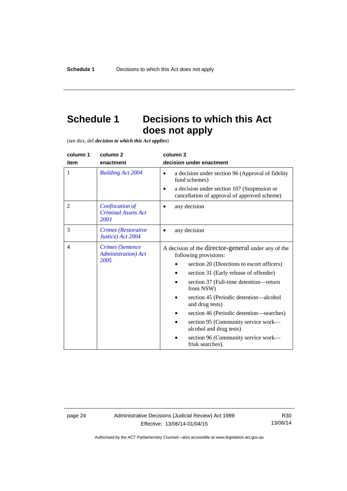## <span id="page-27-0"></span>**Schedule 1 Decisions to which this Act does not apply**

(see dict, def *decision to which this Act applies*)

| column 1       | column 2                                                       | column 3                                                                                                                                                                                                                                                                                 |
|----------------|----------------------------------------------------------------|------------------------------------------------------------------------------------------------------------------------------------------------------------------------------------------------------------------------------------------------------------------------------------------|
| item           | enactment                                                      | decision under enactment                                                                                                                                                                                                                                                                 |
| 1              | <b>Building Act 2004</b>                                       | a decision under section 96 (Approval of fidelity<br>$\bullet$<br>fund schemes)<br>a decision under section 107 (Suspension or<br>cancellation of approval of approved scheme)                                                                                                           |
| $\overline{2}$ | Confiscation of<br><b>Criminal Assets Act</b><br>2003          | any decision                                                                                                                                                                                                                                                                             |
| 3              | Crimes (Restorative<br>Justice) Act 2004                       | any decision                                                                                                                                                                                                                                                                             |
| $\overline{4}$ | <b>Crimes</b> (Sentence<br><b>Administration</b> ) Act<br>2005 | A decision of the director-general under any of the<br>following provisions:<br>section 20 (Directions to escort officers)<br>section 31 (Early release of offender)<br>section 37 (Full-time detention-return<br>from NSW)<br>section 45 (Periodic detention—alcohol<br>and drug tests) |
|                |                                                                | section 46 (Periodic detention—searches)<br>section 95 (Community service work—<br>alcohol and drug tests)<br>section 96 (Community service work—<br>frisk searches).                                                                                                                    |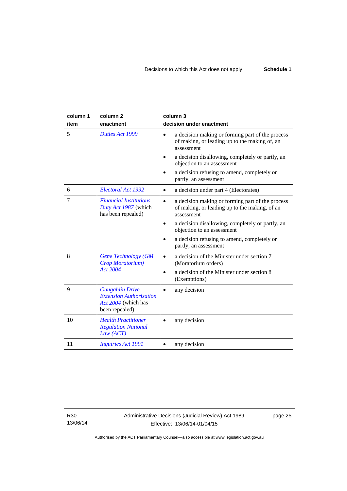| column 1<br>item | column <sub>2</sub><br>enactment                                                                  | column 3<br>decision under enactment                                                                                         |
|------------------|---------------------------------------------------------------------------------------------------|------------------------------------------------------------------------------------------------------------------------------|
| 5                | Duties Act 1999                                                                                   | a decision making or forming part of the process<br>$\bullet$<br>of making, or leading up to the making of, an<br>assessment |
|                  |                                                                                                   | a decision disallowing, completely or partly, an<br>objection to an assessment                                               |
|                  |                                                                                                   | a decision refusing to amend, completely or<br>partly, an assessment                                                         |
| 6                | Electoral Act 1992                                                                                | a decision under part 4 (Electorates)<br>$\bullet$                                                                           |
| 7                | <b>Financial Institutions</b><br>Duty Act 1987 (which<br>has been repealed)                       | a decision making or forming part of the process<br>$\bullet$<br>of making, or leading up to the making, of an<br>assessment |
|                  |                                                                                                   | a decision disallowing, completely or partly, an<br>٠<br>objection to an assessment                                          |
|                  |                                                                                                   | a decision refusing to amend, completely or<br>partly, an assessment                                                         |
| 8                | <b>Gene Technology (GM</b><br>Crop Moratorium)                                                    | a decision of the Minister under section 7<br>(Moratorium orders)                                                            |
|                  | <b>Act 2004</b>                                                                                   | a decision of the Minister under section 8<br>٠<br>(Exemptions)                                                              |
| 9                | <b>Gungahlin Drive</b><br><b>Extension Authorisation</b><br>Act 2004 (which has<br>been repealed) | any decision                                                                                                                 |
| 10               | <b>Health Practitioner</b><br><b>Regulation National</b><br>Law (ACT)                             | any decision                                                                                                                 |
| 11               | <b>Inquiries Act 1991</b>                                                                         | any decision                                                                                                                 |

R30 13/06/14 page 25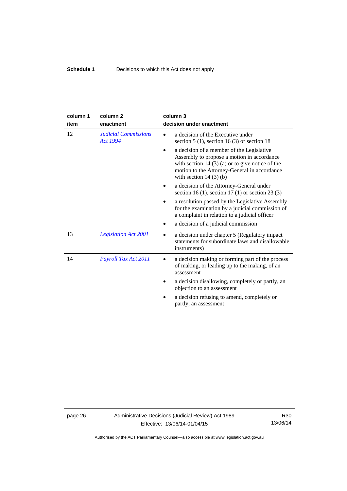| column 1 | column <sub>2</sub>                            | column 3                                                                                                                                                                                                               |
|----------|------------------------------------------------|------------------------------------------------------------------------------------------------------------------------------------------------------------------------------------------------------------------------|
| item     | enactment                                      | decision under enactment                                                                                                                                                                                               |
| 12       | <b>Judicial Commissions</b><br><b>Act 1994</b> | a decision of the Executive under<br>section $5(1)$ , section $16(3)$ or section 18                                                                                                                                    |
|          |                                                | a decision of a member of the Legislative<br>Assembly to propose a motion in accordance<br>with section $14(3)(a)$ or to give notice of the<br>motion to the Attorney-General in accordance<br>with section $14(3)(b)$ |
|          |                                                | a decision of the Attorney-General under<br>section 16 (1), section 17 (1) or section 23 (3)                                                                                                                           |
|          |                                                | a resolution passed by the Legislative Assembly<br>for the examination by a judicial commission of<br>a complaint in relation to a judicial officer                                                                    |
|          |                                                | a decision of a judicial commission                                                                                                                                                                                    |
| 13       | <b>Legislation Act 2001</b>                    | a decision under chapter 5 (Regulatory impact)<br>statements for subordinate laws and disallowable<br>instruments)                                                                                                     |
| 14       | Payroll Tax Act 2011                           | a decision making or forming part of the process<br>of making, or leading up to the making, of an<br>assessment                                                                                                        |
|          |                                                | a decision disallowing, completely or partly, an<br>objection to an assessment                                                                                                                                         |
|          |                                                | a decision refusing to amend, completely or<br>partly, an assessment                                                                                                                                                   |

page 26 Administrative Decisions (Judicial Review) Act 1989 Effective: 13/06/14-01/04/15

R30 13/06/14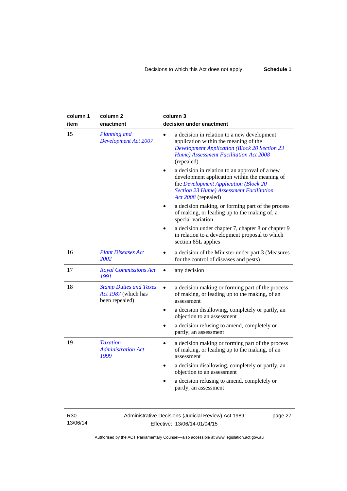| column 1<br>item | column 2<br>enactment                                                  | column 3<br>decision under enactment                                                                                                                                                                               |
|------------------|------------------------------------------------------------------------|--------------------------------------------------------------------------------------------------------------------------------------------------------------------------------------------------------------------|
| 15               | <b>Planning and</b><br><b>Development Act 2007</b>                     | a decision in relation to a new development<br>application within the meaning of the<br><b>Development Application (Block 20 Section 23</b><br>Hume) Assessment Facilitation Act 2008<br>(repealed)                |
|                  |                                                                        | a decision in relation to an approval of a new<br>development application within the meaning of<br>the Development Application (Block 20<br><b>Section 23 Hume) Assessment Facilitation</b><br>Act 2008 (repealed) |
|                  |                                                                        | a decision making, or forming part of the process<br>of making, or leading up to the making of, a<br>special variation                                                                                             |
|                  |                                                                        | a decision under chapter 7, chapter 8 or chapter 9<br>in relation to a development proposal to which<br>section 85L applies                                                                                        |
| 16               | <b>Plant Diseases Act</b><br>2002                                      | a decision of the Minister under part 3 (Measures<br>$\bullet$<br>for the control of diseases and pests)                                                                                                           |
| 17               | <b>Royal Commissions Act</b><br>1991                                   | any decision<br>$\bullet$                                                                                                                                                                                          |
| 18               | <b>Stamp Duties and Taxes</b><br>Act 1987 (which has<br>been repealed) | a decision making or forming part of the process<br>$\bullet$<br>of making, or leading up to the making, of an<br>assessment                                                                                       |
|                  |                                                                        | a decision disallowing, completely or partly, an<br>$\bullet$<br>objection to an assessment                                                                                                                        |
|                  |                                                                        | a decision refusing to amend, completely or<br>partly, an assessment                                                                                                                                               |
| 19               | <b>Taxation</b><br><b>Administration Act</b><br>1999                   | a decision making or forming part of the process<br>$\bullet$<br>of making, or leading up to the making, of an<br>assessment                                                                                       |
|                  |                                                                        | a decision disallowing, completely or partly, an<br>$\bullet$<br>objection to an assessment                                                                                                                        |
|                  |                                                                        | a decision refusing to amend, completely or<br>partly, an assessment                                                                                                                                               |

R30 13/06/14 Administrative Decisions (Judicial Review) Act 1989 Effective: 13/06/14-01/04/15

page 27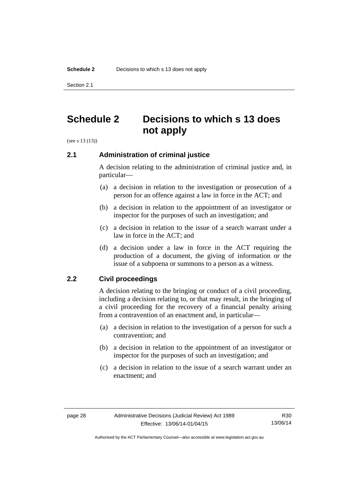Section 2.1

## <span id="page-31-0"></span>**Schedule 2 Decisions to which s 13 does not apply**

(see s 13 (13))

#### <span id="page-31-1"></span>**2.1 Administration of criminal justice**

A decision relating to the administration of criminal justice and, in particular—

- (a) a decision in relation to the investigation or prosecution of a person for an offence against a law in force in the ACT; and
- (b) a decision in relation to the appointment of an investigator or inspector for the purposes of such an investigation; and
- (c) a decision in relation to the issue of a search warrant under a law in force in the ACT; and
- (d) a decision under a law in force in the ACT requiring the production of a document, the giving of information or the issue of a subpoena or summons to a person as a witness.

#### <span id="page-31-2"></span>**2.2 Civil proceedings**

A decision relating to the bringing or conduct of a civil proceeding, including a decision relating to, or that may result, in the bringing of a civil proceeding for the recovery of a financial penalty arising from a contravention of an enactment and, in particular—

- (a) a decision in relation to the investigation of a person for such a contravention; and
- (b) a decision in relation to the appointment of an investigator or inspector for the purposes of such an investigation; and
- (c) a decision in relation to the issue of a search warrant under an enactment; and

R30 13/06/14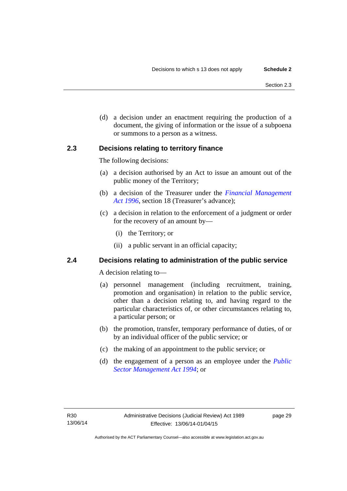(d) a decision under an enactment requiring the production of a document, the giving of information or the issue of a subpoena or summons to a person as a witness.

#### <span id="page-32-0"></span>**2.3 Decisions relating to territory finance**

The following decisions:

- (a) a decision authorised by an Act to issue an amount out of the public money of the Territory;
- (b) a decision of the Treasurer under the *[Financial Management](http://www.legislation.act.gov.au/a/1996-22)*  [Act 1996](http://www.legislation.act.gov.au/a/1996-22), section 18 (Treasurer's advance);
- (c) a decision in relation to the enforcement of a judgment or order for the recovery of an amount by—
	- (i) the Territory; or
	- (ii) a public servant in an official capacity;

#### <span id="page-32-1"></span>**2.4 Decisions relating to administration of the public service**

A decision relating to—

- (a) personnel management (including recruitment, training, promotion and organisation) in relation to the public service, other than a decision relating to, and having regard to the particular characteristics of, or other circumstances relating to, a particular person; or
- (b) the promotion, transfer, temporary performance of duties, of or by an individual officer of the public service; or
- (c) the making of an appointment to the public service; or
- (d) the engagement of a person as an employee under the *[Public](http://www.legislation.act.gov.au/a/1994-37)  [Sector Management Act 1994](http://www.legislation.act.gov.au/a/1994-37)*; or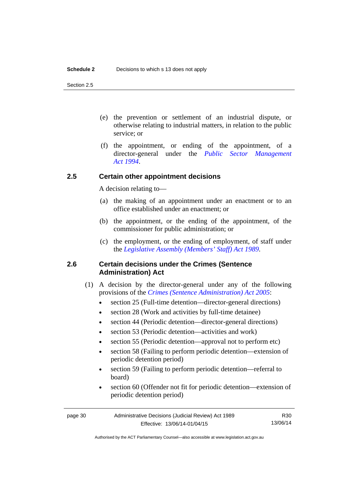Section 2.5

- (e) the prevention or settlement of an industrial dispute, or otherwise relating to industrial matters, in relation to the public service; or
- (f) the appointment, or ending of the appointment, of a director-general under the *[Public Sector Management](http://www.legislation.act.gov.au/a/1994-37)  [Act 1994](http://www.legislation.act.gov.au/a/1994-37)*.

#### <span id="page-33-0"></span>**2.5 Certain other appointment decisions**

A decision relating to—

- (a) the making of an appointment under an enactment or to an office established under an enactment; or
- (b) the appointment, or the ending of the appointment, of the commissioner for public administration; or
- (c) the employment, or the ending of employment, of staff under the *[Legislative Assembly \(Members' Staff\) Act 1989](http://www.legislation.act.gov.au/a/1989-19)*.

#### <span id="page-33-1"></span>**2.6 Certain decisions under the Crimes (Sentence Administration) Act**

- (1) A decision by the director-general under any of the following provisions of the *[Crimes \(Sentence Administration\) Act 2005](http://www.legislation.act.gov.au/a/2005-59)*:
	- section 25 (Full-time detention—director-general directions)
	- section 28 (Work and activities by full-time detainee)
	- section 44 (Periodic detention—director-general directions)
	- section 53 (Periodic detention—activities and work)
	- section 55 (Periodic detention—approval not to perform etc)
	- section 58 (Failing to perform periodic detention—extension of periodic detention period)
	- section 59 (Failing to perform periodic detention—referral to board)
	- section 60 (Offender not fit for periodic detention—extension of periodic detention period)

R30 13/06/14

Authorised by the ACT Parliamentary Counsel—also accessible at www.legislation.act.gov.au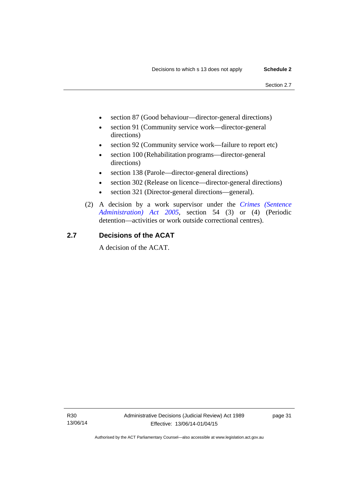- section 87 (Good behaviour—director-general directions)
- section 91 (Community service work—director-general directions)
- section 92 (Community service work—failure to report etc)
- section 100 (Rehabilitation programs—director-general directions)
- section 138 (Parole—director-general directions)
- section 302 (Release on licence—director-general directions)
- section 321 (Director-general directions—general).
- (2) A decision by a work supervisor under the *[Crimes \(Sentence](http://www.legislation.act.gov.au/a/2005-59)  [Administration\) Act 2005](http://www.legislation.act.gov.au/a/2005-59)*, section 54 (3) or (4) (Periodic detention—activities or work outside correctional centres).

#### <span id="page-34-0"></span>**2.7 Decisions of the ACAT**

A decision of the ACAT.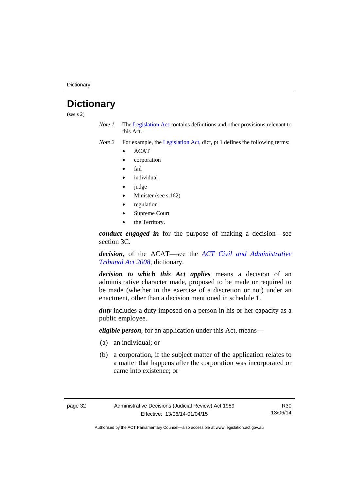**Dictionary** 

## <span id="page-35-0"></span>**Dictionary**

(see s 2)

*Note 1* The [Legislation Act](http://www.legislation.act.gov.au/a/2001-14) contains definitions and other provisions relevant to this Act.

*Note 2* For example, the [Legislation Act,](http://www.legislation.act.gov.au/a/2001-14) dict, pt 1 defines the following terms:

- ACAT
- corporation
- fail
- *individual*
- judge
- Minister (see s 162)
- regulation
- Supreme Court
- the Territory.

*conduct engaged in* for the purpose of making a decision—see section 3C.

*decision*, of the ACAT—see the *[ACT Civil and Administrative](http://www.legislation.act.gov.au/a/2008-35)  [Tribunal Act 2008](http://www.legislation.act.gov.au/a/2008-35)*, dictionary.

*decision to which this Act applies* means a decision of an administrative character made, proposed to be made or required to be made (whether in the exercise of a discretion or not) under an enactment, other than a decision mentioned in schedule 1.

*duty* includes a duty imposed on a person in his or her capacity as a public employee.

*eligible person*, for an application under this Act, means—

- (a) an individual; or
- (b) a corporation, if the subject matter of the application relates to a matter that happens after the corporation was incorporated or came into existence; or

R30 13/06/14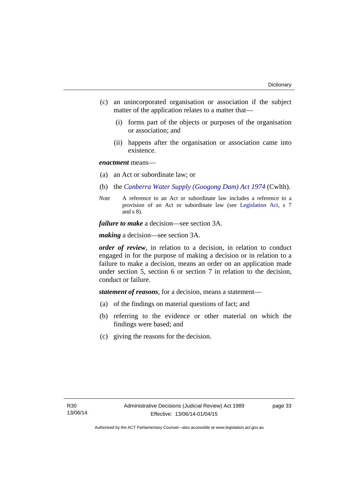- (c) an unincorporated organisation or association if the subject matter of the application relates to a matter that—
	- (i) forms part of the objects or purposes of the organisation or association; and
	- (ii) happens after the organisation or association came into existence.

#### *enactment* means—

- (a) an Act or subordinate law; or
- (b) the *[Canberra Water Supply \(Googong Dam\) Act 1974](http://www.comlaw.gov.au/Details/C2008C00317)* (Cwlth).
- *Note* A reference to an Act or subordinate law includes a reference to a provision of an Act or subordinate law (see [Legislation Act](http://www.legislation.act.gov.au/a/2001-14), s 7 and s 8).

*failure to make* a decision—see section 3A.

*making* a decision—see section 3A.

*order of review*, in relation to a decision, in relation to conduct engaged in for the purpose of making a decision or in relation to a failure to make a decision, means an order on an application made under section 5, section 6 or section 7 in relation to the decision, conduct or failure.

*statement of reasons*, for a decision, means a statement—

- (a) of the findings on material questions of fact; and
- (b) referring to the evidence or other material on which the findings were based; and
- (c) giving the reasons for the decision.

page 33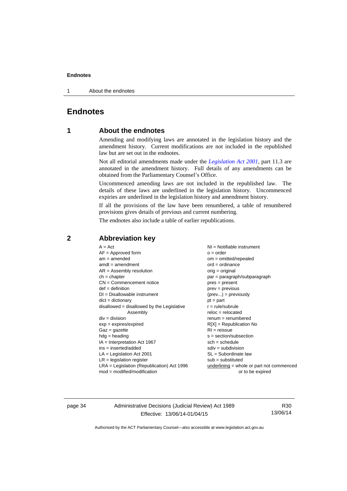1 About the endnotes

### <span id="page-37-0"></span>**Endnotes**

#### **1 About the endnotes**

Amending and modifying laws are annotated in the legislation history and the amendment history. Current modifications are not included in the republished law but are set out in the endnotes.

Not all editorial amendments made under the *[Legislation Act 2001](http://www.legislation.act.gov.au/a/2001-14)*, part 11.3 are annotated in the amendment history. Full details of any amendments can be obtained from the Parliamentary Counsel's Office.

Uncommenced amending laws are not included in the republished law. The details of these laws are underlined in the legislation history. Uncommenced expiries are underlined in the legislation history and amendment history.

If all the provisions of the law have been renumbered, a table of renumbered provisions gives details of previous and current numbering.

The endnotes also include a table of earlier republications.

| $A = Act$                                    | $NI = Notifiable$ instrument                |
|----------------------------------------------|---------------------------------------------|
| $AF =$ Approved form                         | $o = order$                                 |
| $am = amended$                               | $om = omitted/repealed$                     |
| $amdt = amendment$                           | $ord = ordinance$                           |
| $AR = Assembly resolution$                   | $orig = original$                           |
| $ch = chapter$                               | par = paragraph/subparagraph                |
| $CN =$ Commencement notice                   | $pres = present$                            |
| $def = definition$                           | $prev = previous$                           |
| $DI = Disallowable instrument$               | $(\text{prev}) = \text{previously}$         |
| $dict = dictionary$                          | $pt = part$                                 |
| disallowed = disallowed by the Legislative   | $r = rule/subrule$                          |
| Assembly                                     | $reloc = relocated$                         |
| $div = division$                             | $renum = renumbered$                        |
| $exp = expires/expired$                      | $R[X]$ = Republication No                   |
| $Gaz = gazette$                              | $RI =$ reissue                              |
| $hdg = heading$                              | $s = section/subsection$                    |
| $IA = Interpretation Act 1967$               | $sch = schedule$                            |
| ins = inserted/added                         | $sdiv = subdivision$                        |
| $LA =$ Legislation Act 2001                  | $SL = Subordinate$ law                      |
| $LR =$ legislation register                  | $sub =$ substituted                         |
| $LRA =$ Legislation (Republication) Act 1996 | $underlining = whole or part not commenced$ |
| $mod = modified/modification$                | or to be expired                            |
|                                              |                                             |

#### <span id="page-37-2"></span>**2 Abbreviation key**

page 34 Administrative Decisions (Judicial Review) Act 1989 Effective: 13/06/14-01/04/15

R30 13/06/14

<span id="page-37-1"></span>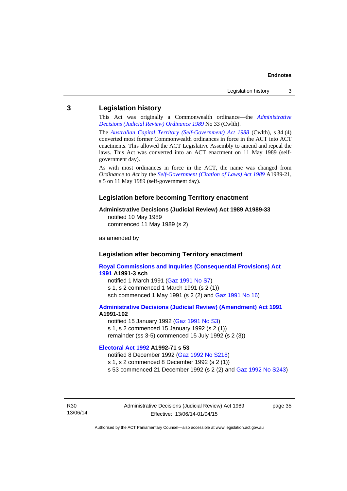#### <span id="page-38-0"></span>**3 Legislation history**

This Act was originally a Commonwealth ordinance—the *[Administrative](http://www.legislation.act.gov.au/a/alt_a1989-33co)  [Decisions \(Judicial Review\) Ordinance 1989](http://www.legislation.act.gov.au/a/alt_a1989-33co)* No 33 (Cwlth).

The *[Australian Capital Territory \(Self-Government\) Act 1988](http://www.comlaw.gov.au/Current/C2004A03699)* (Cwlth), s 34 (4) converted most former Commonwealth ordinances in force in the ACT into ACT enactments. This allowed the ACT Legislative Assembly to amend and repeal the laws. This Act was converted into an ACT enactment on 11 May 1989 (selfgovernment day).

As with most ordinances in force in the ACT, the name was changed from *Ordinance* to *Act* by the *[Self-Government \(Citation of Laws\) Act 1989](http://www.legislation.act.gov.au/a/alt_ord1989-21/default.asp)* A1989-21, s 5 on 11 May 1989 (self-government day).

#### **Legislation before becoming Territory enactment**

#### **Administrative Decisions (Judicial Review) Act 1989 A1989-33**

notified 10 May 1989 commenced 11 May 1989 (s 2)

as amended by

#### **Legislation after becoming Territory enactment**

**[Royal Commissions and Inquiries \(Consequential Provisions\) Act](http://www.legislation.act.gov.au/a/1991-3)  [1991](http://www.legislation.act.gov.au/a/1991-3) A1991-3 sch**  notified 1 March 1991 [\(Gaz 1991 No S7](http://www.legislation.act.gov.au/gaz/1991-S7/default.asp)) s 1, s 2 commenced 1 March 1991 (s 2 (1))

sch commenced 1 May 1991 (s 2 (2) and [Gaz 1991 No 16](http://www.legislation.act.gov.au/gaz/1991-16/default.asp))

#### **[Administrative Decisions \(Judicial Review\) \(Amendment\) Act 1991](http://www.legislation.act.gov.au/a/1991-102) A1991-102**

notified 15 January 1992 ([Gaz 1991 No S3\)](http://www.legislation.act.gov.au/gaz/1991-S3/default.asp) s 1, s 2 commenced 15 January 1992 (s 2 (1)) remainder (ss 3-5) commenced 15 July 1992 (s 2 (3))

#### **[Electoral Act 1992](http://www.legislation.act.gov.au/a/1992-71) A1992-71 s 53**

notified 8 December 1992 ([Gaz 1992 No S218\)](http://www.legislation.act.gov.au/gaz/1992-S218/default.asp) s 1, s 2 commenced 8 December 1992 (s 2 (1)) s 53 commenced 21 December 1992 (s 2 (2) and [Gaz 1992 No S243\)](http://www.legislation.act.gov.au/gaz/1992-S243/default.asp)

R30 13/06/14 Administrative Decisions (Judicial Review) Act 1989 Effective: 13/06/14-01/04/15

page 35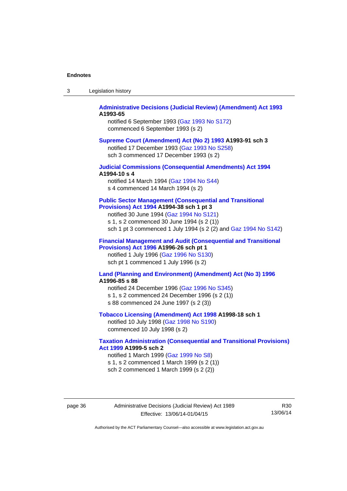| Legislation history<br>-3 |  |
|---------------------------|--|
|---------------------------|--|

#### **[Administrative Decisions \(Judicial Review\) \(Amendment\) Act 1993](http://www.legislation.act.gov.au/a/1993-65) A1993-65**

notified 6 September 1993 [\(Gaz 1993 No S172\)](http://www.legislation.act.gov.au/gaz/1993-S172/default.asp) commenced 6 September 1993 (s 2)

#### **[Supreme Court \(Amendment\) Act \(No 2\) 1993](http://www.legislation.act.gov.au/a/1993-91) A1993-91 sch 3**

notified 17 December 1993 [\(Gaz 1993 No S258](http://www.legislation.act.gov.au/gaz/1993-S258/default.asp)) sch 3 commenced 17 December 1993 (s 2)

#### **[Judicial Commissions \(Consequential Amendments\) Act 1994](http://www.legislation.act.gov.au/a/1994-10) A1994-10 s 4**

notified 14 March 1994 ([Gaz 1994 No S44](http://www.legislation.act.gov.au/gaz/1994-S44/default.asp)) s 4 commenced 14 March 1994 (s 2)

#### **[Public Sector Management \(Consequential and Transitional](http://www.legislation.act.gov.au/a/1994-38)  [Provisions\) Act 1994](http://www.legislation.act.gov.au/a/1994-38) A1994-38 sch 1 pt 3**

notified 30 June 1994 ([Gaz 1994 No S121\)](http://www.legislation.act.gov.au/gaz/1994-S121/default.asp)

s 1, s 2 commenced 30 June 1994 (s 2 (1))

sch 1 pt 3 commenced 1 July 1994 (s 2 (2) and [Gaz 1994 No S142](http://www.legislation.act.gov.au/gaz/1994-S142/default.asp))

#### **[Financial Management and Audit \(Consequential and Transitional](http://www.legislation.act.gov.au/a/1996-26)  [Provisions\) Act 1996](http://www.legislation.act.gov.au/a/1996-26) A1996-26 sch pt 1**

notified 1 July 1996 [\(Gaz 1996 No S130](http://www.legislation.act.gov.au/gaz/1996-S130/default.asp)) sch pt 1 commenced 1 July 1996 (s 2)

#### **[Land \(Planning and Environment\) \(Amendment\) Act \(No 3\) 1996](http://www.legislation.act.gov.au/a/1996-85) A1996-85 s 88**

notified 24 December 1996 [\(Gaz 1996 No S345](http://www.legislation.act.gov.au/gaz/1996-S345/default.asp)) s 1, s 2 commenced 24 December 1996 (s 2 (1)) s 88 commenced 24 June 1997 (s 2 (3))

#### **[Tobacco Licensing \(Amendment\) Act 1998](http://www.legislation.act.gov.au/a/1998-18) A1998-18 sch 1**

notified 10 July 1998 ([Gaz 1998 No S190\)](http://www.legislation.act.gov.au/gaz/1998-S190/default.asp) commenced 10 July 1998 (s 2)

#### **[Taxation Administration \(Consequential and Transitional Provisions\)](http://www.legislation.act.gov.au/a/1999-5)  [Act 1999](http://www.legislation.act.gov.au/a/1999-5) A1999-5 sch 2**

notified 1 March 1999 [\(Gaz 1999 No S8](http://www.legislation.act.gov.au/gaz/1999-S8/default.asp)) s 1, s 2 commenced 1 March 1999 (s 2 (1)) sch 2 commenced 1 March 1999 (s 2 (2))

page 36 Administrative Decisions (Judicial Review) Act 1989 Effective: 13/06/14-01/04/15

R30 13/06/14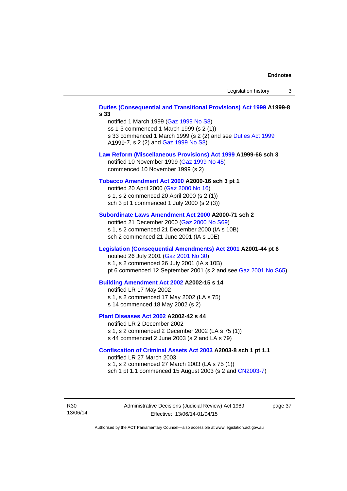### **[Duties \(Consequential and Transitional Provisions\) Act 1999](http://www.legislation.act.gov.au/a/1999-8) A1999-8 s 33**  notified 1 March 1999 [\(Gaz 1999 No S8](http://www.legislation.act.gov.au/gaz/1999-S8/default.asp)) ss 1-3 commenced 1 March 1999 (s 2 (1)) s 33 commenced 1 March 1999 (s 2 (2) and see [Duties Act 1999](http://www.legislation.act.gov.au/a/1999-7) A1999-7, s 2 (2) and [Gaz 1999 No S8\)](http://www.legislation.act.gov.au/gaz/1999-S8/default.asp) **[Law Reform \(Miscellaneous Provisions\) Act 1999](http://www.legislation.act.gov.au/a/1999-66) A1999-66 sch 3**  notified 10 November 1999 [\(Gaz 1999 No 45](http://www.legislation.act.gov.au/gaz/1999-45/default.asp)) commenced 10 November 1999 (s 2) **[Tobacco Amendment Act 2000](http://www.legislation.act.gov.au/a/2000-16) A2000-16 sch 3 pt 1**  notified 20 April 2000 [\(Gaz 2000 No 16\)](http://www.legislation.act.gov.au/gaz/2000-16/default.asp) s 1, s 2 commenced 20 April 2000 (s 2 (1)) sch 3 pt 1 commenced 1 July 2000 (s 2 (3)) **[Subordinate Laws Amendment Act 2000](http://www.legislation.act.gov.au/a/2000-71) A2000-71 sch 2**  notified 21 December 2000 [\(Gaz 2000 No S69\)](http://www.legislation.act.gov.au/gaz/2000-S69/default.asp) s 1, s 2 commenced 21 December 2000 (IA s 10B) sch 2 commenced 21 June 2001 (IA s 10E) **[Legislation \(Consequential Amendments\) Act 2001](http://www.legislation.act.gov.au/a/2001-44) A2001-44 pt 6**  notified 26 July 2001 ([Gaz 2001 No 30\)](http://www.legislation.act.gov.au/gaz/2001-30/default.asp) s 1, s 2 commenced 26 July 2001 (IA s 10B) pt 6 commenced 12 September 2001 (s 2 and see [Gaz 2001 No S65\)](http://www.legislation.act.gov.au/gaz/2001-S65/default.asp) **[Building Amendment Act 2002](http://www.legislation.act.gov.au/a/2002-15) A2002-15 s 14**  notified LR 17 May 2002 s 1, s 2 commenced 17 May 2002 (LA s 75) s 14 commenced 18 May 2002 (s 2) **[Plant Diseases Act 2002](http://www.legislation.act.gov.au/a/2002-42) A2002-42 s 44**  notified LR 2 December 2002 s 1, s 2 commenced 2 December 2002 (LA s 75 (1)) s 44 commenced 2 June 2003 (s 2 and LA s 79) **[Confiscation of Criminal Assets Act 2003](http://www.legislation.act.gov.au/a/2003-8) A2003-8 sch 1 pt 1.1**  notified LR 27 March 2003 s 1, s 2 commenced 27 March 2003 (LA s 75 (1)) sch 1 pt 1.1 commenced 15 August 2003 (s 2 and [CN2003-7](http://www.legislation.act.gov.au/cn/2003-7/default.asp))

R30 13/06/14 Administrative Decisions (Judicial Review) Act 1989 Effective: 13/06/14-01/04/15

page 37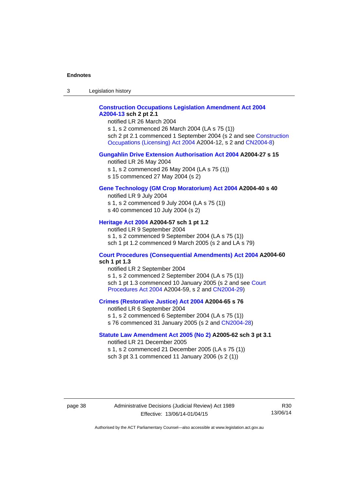3 Legislation history

#### **[Construction Occupations Legislation Amendment Act 2004](http://www.legislation.act.gov.au/a/2004-13)  [A2004-13](http://www.legislation.act.gov.au/a/2004-13) sch 2 pt 2.1**

notified LR 26 March 2004

s 1, s 2 commenced 26 March 2004 (LA s 75 (1)) sch 2 pt 2.1 commenced 1 September 2004 (s 2 and see [Construction](http://www.legislation.act.gov.au/a/2004-12)  [Occupations \(Licensing\) Act 2004](http://www.legislation.act.gov.au/a/2004-12) A2004-12, s 2 and [CN2004-8\)](http://www.legislation.act.gov.au/cn/2004-8/default.asp)

#### **[Gungahlin Drive Extension Authorisation Act 2004](http://www.legislation.act.gov.au/a/2004-27) A2004-27 s 15**

notified LR 26 May 2004

- s 1, s 2 commenced 26 May 2004 (LA s 75 (1))
- s 15 commenced 27 May 2004 (s 2)

#### **[Gene Technology \(GM Crop Moratorium\) Act 2004](http://www.legislation.act.gov.au/a/2004-40) A2004-40 s 40**

notified LR 9 July 2004

- s 1, s 2 commenced 9 July 2004 (LA s 75 (1))
- s 40 commenced 10 July 2004 (s 2)

#### **[Heritage Act 2004](http://www.legislation.act.gov.au/a/2004-57) A2004-57 sch 1 pt 1.2**

notified LR 9 September 2004 s 1, s 2 commenced 9 September 2004 (LA s 75 (1)) sch 1 pt 1.2 commenced 9 March 2005 (s 2 and LA s 79)

#### **[Court Procedures \(Consequential Amendments\) Act 2004](http://www.legislation.act.gov.au/a/2004-60) A2004-60 sch 1 pt 1.3**

notified LR 2 September 2004 s 1, s 2 commenced 2 September 2004 (LA s 75 (1)) sch 1 pt 1.3 commenced 10 January 2005 (s 2 and see [Court](http://www.legislation.act.gov.au/a/2004-59)  [Procedures Act 2004](http://www.legislation.act.gov.au/a/2004-59) A2004-59, s 2 and [CN2004-29\)](http://www.legislation.act.gov.au/cn/2004-29/default.asp)

#### **[Crimes \(Restorative Justice\) Act 2004](http://www.legislation.act.gov.au/a/2004-65) A2004-65 s 76**

notified LR 6 September 2004 s 1, s 2 commenced 6 September 2004 (LA s 75 (1)) s 76 commenced 31 January 2005 (s 2 and [CN2004-28](http://www.legislation.act.gov.au/cn/2004-28/default.asp))

#### **[Statute Law Amendment Act 2005 \(No 2\)](http://www.legislation.act.gov.au/a/2005-62) A2005-62 sch 3 pt 3.1**

notified LR 21 December 2005 s 1, s 2 commenced 21 December 2005 (LA s 75 (1)) sch 3 pt 3.1 commenced 11 January 2006 (s 2 (1))

page 38 Administrative Decisions (Judicial Review) Act 1989 Effective: 13/06/14-01/04/15

R30 13/06/14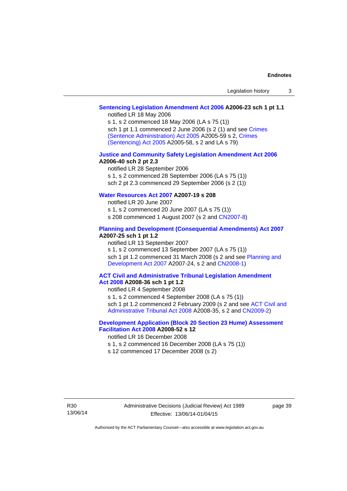#### **[Sentencing Legislation Amendment Act 2006](http://www.legislation.act.gov.au/a/2006-23) A2006-23 sch 1 pt 1.1**

notified LR 18 May 2006

s 1, s 2 commenced 18 May 2006 (LA s 75 (1)) sch 1 pt 1.1 commenced 2 June 2006 (s 2 (1) and see [Crimes](http://www.legislation.act.gov.au/a/2005-59)  [\(Sentence Administration\) Act 2005](http://www.legislation.act.gov.au/a/2005-59) A2005-59 s 2, [Crimes](http://www.legislation.act.gov.au/a/2005-58)  [\(Sentencing\) Act 2005](http://www.legislation.act.gov.au/a/2005-58) A2005-58, s 2 and LA s 79)

#### **[Justice and Community Safety Legislation Amendment Act 2006](http://www.legislation.act.gov.au/a/2006-40) A2006-40 sch 2 pt 2.3**

notified LR 28 September 2006 s 1, s 2 commenced 28 September 2006 (LA s 75 (1)) sch 2 pt 2.3 commenced 29 September 2006 (s 2 (1))

#### **[Water Resources Act 2007](http://www.legislation.act.gov.au/a/2007-19) A2007-19 s 208**

notified LR 20 June 2007 s 1, s 2 commenced 20 June 2007 (LA s 75 (1)) s 208 commenced 1 August 2007 (s 2 and [CN2007-8](http://www.legislation.act.gov.au/cn/2007-8/default.asp))

#### **[Planning and Development \(Consequential Amendments\) Act 2007](http://www.legislation.act.gov.au/a/2007-25) A2007-25 sch 1 pt 1.2**

notified LR 13 September 2007

s 1, s 2 commenced 13 September 2007 (LA s 75 (1)) sch 1 pt 1.2 commenced 31 March 2008 (s 2 and see Planning and [Development Act 2007](http://www.legislation.act.gov.au/a/2007-24) A2007-24, s 2 and [CN2008-1](http://www.legislation.act.gov.au/cn/2008-1/default.asp))

#### **[ACT Civil and Administrative Tribunal Legislation Amendment](http://www.legislation.act.gov.au/a/2008-36)  [Act 2008](http://www.legislation.act.gov.au/a/2008-36) A2008-36 sch 1 pt 1.2**

notified LR 4 September 2008

s 1, s 2 commenced 4 September 2008 (LA s 75 (1))

sch 1 pt 1.2 commenced 2 February 2009 (s 2 and see [ACT Civil and](http://www.legislation.act.gov.au/a/2008-35)  [Administrative Tribunal Act 2008](http://www.legislation.act.gov.au/a/2008-35) A2008-35, s 2 and [CN2009-2\)](http://www.legislation.act.gov.au/cn/2009-2/default.asp)

#### **[Development Application \(Block 20 Section 23 Hume\) Assessment](http://www.legislation.act.gov.au/a/2008-52)  [Facilitation Act 2008](http://www.legislation.act.gov.au/a/2008-52) A2008-52 s 12**

notified LR 16 December 2008

s 1, s 2 commenced 16 December 2008 (LA s 75 (1))

s 12 commenced 17 December 2008 (s 2)

page 39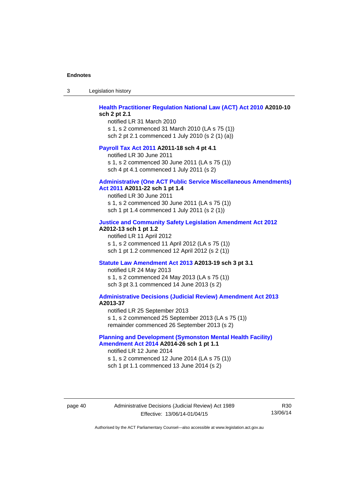| -3 | Legislation history |  |
|----|---------------------|--|
|----|---------------------|--|

#### **[Health Practitioner Regulation National Law \(ACT\) Act 2010](http://www.legislation.act.gov.au/a/2010-10) A2010-10 sch 2 pt 2.1**

notified LR 31 March 2010 s 1, s 2 commenced 31 March 2010 (LA s 75 (1)) sch 2 pt 2.1 commenced 1 July 2010 (s 2 (1) (a))

#### **[Payroll Tax Act 2011](http://www.legislation.act.gov.au/a/2011-18) A2011-18 sch 4 pt 4.1**

notified LR 30 June 2011 s 1, s 2 commenced 30 June 2011 (LA s 75 (1)) sch 4 pt 4.1 commenced 1 July 2011 (s 2)

#### **[Administrative \(One ACT Public Service Miscellaneous Amendments\)](http://www.legislation.act.gov.au/a/2011-22)**

#### **[Act 2011](http://www.legislation.act.gov.au/a/2011-22) A2011-22 sch 1 pt 1.4**

notified LR 30 June 2011 s 1, s 2 commenced 30 June 2011 (LA s 75 (1)) sch 1 pt 1.4 commenced 1 July 2011 (s 2 (1))

#### **[Justice and Community Safety Legislation Amendment Act 2012](http://www.legislation.act.gov.au/a/2012-13)**

#### **A2012-13 sch 1 pt 1.2**

notified LR 11 April 2012 s 1, s 2 commenced 11 April 2012 (LA s 75 (1)) sch 1 pt 1.2 commenced 12 April 2012 (s 2 (1))

#### **[Statute Law Amendment Act 2013](http://www.legislation.act.gov.au/a/2013-19) A2013-19 sch 3 pt 3.1**

notified LR 24 May 2013 s 1, s 2 commenced 24 May 2013 (LA s 75 (1)) sch 3 pt 3.1 commenced 14 June 2013 (s 2)

#### **[Administrative Decisions \(Judicial Review\) Amendment Act 2013](http://www.legislation.act.gov.au/a/2013-37) A2013-37**

notified LR 25 September 2013 s 1, s 2 commenced 25 September 2013 (LA s 75 (1)) remainder commenced 26 September 2013 (s 2)

#### **[Planning and Development \(Symonston Mental Health Facility\)](http://www.legislation.act.gov.au/a/2014-26)  [Amendment Act 2014](http://www.legislation.act.gov.au/a/2014-26) A2014-26 sch 1 pt 1.1**

notified LR 12 June 2014 s 1, s 2 commenced 12 June 2014 (LA s 75 (1)) sch 1 pt 1.1 commenced 13 June 2014 (s 2)

#### page 40 Administrative Decisions (Judicial Review) Act 1989 Effective: 13/06/14-01/04/15

R30 13/06/14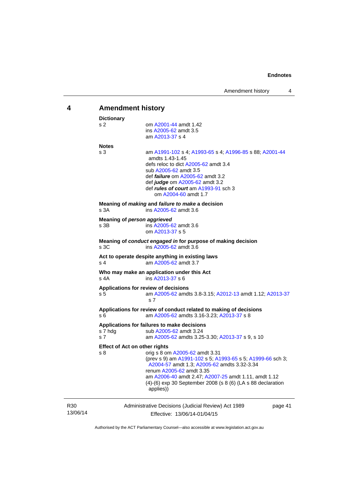<span id="page-44-0"></span>

| 4                           | <b>Amendment history</b>                    |                                                                                                                                                                                                                                                                                                             |  |  |
|-----------------------------|---------------------------------------------|-------------------------------------------------------------------------------------------------------------------------------------------------------------------------------------------------------------------------------------------------------------------------------------------------------------|--|--|
|                             | <b>Dictionary</b><br>s <sub>2</sub>         | om A2001-44 amdt 1.42<br>ins A2005-62 amdt 3.5<br>am A2013-37 s 4                                                                                                                                                                                                                                           |  |  |
|                             | <b>Notes</b><br>s 3                         | am A1991-102 s 4; A1993-65 s 4; A1996-85 s 88; A2001-44<br>amdts 1.43-1.45<br>defs reloc to dict A2005-62 amdt 3.4<br>sub A2005-62 amdt 3.5<br>def <i>failure</i> om A2005-62 amdt 3.2<br>def judge om A2005-62 amdt 3.2<br>def rules of court am A1993-91 sch 3<br>om A2004-60 amdt 1.7                    |  |  |
|                             | s 3A                                        | Meaning of <i>making</i> and <i>failure to make</i> a decision<br>ins A2005-62 amdt 3.6                                                                                                                                                                                                                     |  |  |
|                             | Meaning of person aggrieved<br>s 3B         | ins A2005-62 amdt 3.6<br>om A2013-37 s 5                                                                                                                                                                                                                                                                    |  |  |
|                             | s <sub>3C</sub>                             | Meaning of conduct engaged in for purpose of making decision<br>ins A2005-62 amdt 3.6                                                                                                                                                                                                                       |  |  |
|                             | s <sub>4</sub>                              | Act to operate despite anything in existing laws<br>am A2005-62 amdt 3.7                                                                                                                                                                                                                                    |  |  |
|                             | s 4A                                        | Who may make an application under this Act<br>ins A2013-37 s 6                                                                                                                                                                                                                                              |  |  |
|                             | s 5                                         | Applications for review of decisions<br>am A2005-62 amdts 3.8-3.15; A2012-13 amdt 1.12; A2013-37<br>s 7                                                                                                                                                                                                     |  |  |
|                             | s 6                                         | Applications for review of conduct related to making of decisions<br>am A2005-62 amdts 3.16-3.23; A2013-37 s 8                                                                                                                                                                                              |  |  |
|                             | s 7 hdg<br>s 7                              | Applications for failures to make decisions<br>sub A2005-62 amdt 3.24<br>am A2005-62 amdts 3.25-3.30; A2013-37 s 9, s 10                                                                                                                                                                                    |  |  |
|                             | <b>Effect of Act on other rights</b><br>s 8 | orig s 8 om A2005-62 amdt 3.31<br>(prev s 9) am A1991-102 s 5; A1993-65 s 5; A1999-66 sch 3;<br>A2004-57 amdt 1.3; A2005-62 amdts 3.32-3.34<br>renum A2005-62 amdt 3.35<br>am A2006-40 amdt 2.47; A2007-25 amdt 1.11, amdt 1.12<br>(4)-(6) exp 30 September 2008 (s 8 (6) (LA s 88 declaration<br>applies)) |  |  |
| R <sub>30</sub><br>13/06/14 |                                             | Administrative Decisions (Judicial Review) Act 1989<br>page 41<br>Effective: 13/06/14-01/04/15                                                                                                                                                                                                              |  |  |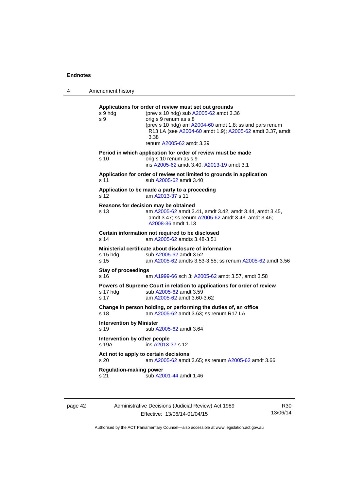4 Amendment history **Applications for order of review must set out grounds**  s 9 hdg (prev s 10 hdg) sub [A2005-62](http://www.legislation.act.gov.au/a/2005-62) amdt 3.36 s 9 orig s 9 renum as s 8 (prev s 10 hdg) am [A2004-60](http://www.legislation.act.gov.au/a/2004-60) amdt 1.8; ss and pars renum R13 LA (see [A2004-60](http://www.legislation.act.gov.au/a/2004-60) amdt 1.9); [A2005-62](http://www.legislation.act.gov.au/a/2005-62) amdt 3.37, amdt 3.38 renum [A2005-62](http://www.legislation.act.gov.au/a/2005-62) amdt 3.39 **Period in which application for order of review must be made**  s 10 orig s 10 renum as s 9 ins [A2005-62](http://www.legislation.act.gov.au/a/2005-62) amdt 3.40; [A2013-19](http://www.legislation.act.gov.au/a/2013-19) amdt 3.1 **Application for order of review not limited to grounds in application**  s 11 sub [A2005-62](http://www.legislation.act.gov.au/a/2005-62) amdt 3.40 **Application to be made a party to a proceeding**  s 12 am [A2013-37](http://www.legislation.act.gov.au/a/2013-37) s 11 **Reasons for decision may be obtained**  s 13 am [A2005-62](http://www.legislation.act.gov.au/a/2005-62) amdt 3.41, amdt 3.42, amdt 3.44, amdt 3.45, amdt 3.47; ss renum [A2005-62](http://www.legislation.act.gov.au/a/2005-62) amdt 3.43, amdt 3.46; [A2008-36](http://www.legislation.act.gov.au/a/2008-36) amdt 1.13 **Certain information not required to be disclosed**<br>s 14 am A2005-62 amdts 3.48-3.51 am [A2005-62](http://www.legislation.act.gov.au/a/2005-62) amdts 3.48-3.51 **Ministerial certificate about disclosure of information**  s 15 hdg sub [A2005-62](http://www.legislation.act.gov.au/a/2005-62) amdt 3.52 s 15 am [A2005-62](http://www.legislation.act.gov.au/a/2005-62) amdts 3.53-3.55; ss renum [A2005-62](http://www.legislation.act.gov.au/a/2005-62) amdt 3.56 **Stay of proceedings**  s 16 am [A1999-66](http://www.legislation.act.gov.au/a/1999-66) sch 3; [A2005-62](http://www.legislation.act.gov.au/a/2005-62) amdt 3.57, amdt 3.58 **Powers of Supreme Court in relation to applications for order of review**  s 17 hdg sub [A2005-62](http://www.legislation.act.gov.au/a/2005-62) amdt 3.59 s 17 am [A2005-62](http://www.legislation.act.gov.au/a/2005-62) amdt 3.60-3.62 **Change in person holding, or performing the duties of, an office**  s 18 **am [A2005-62](http://www.legislation.act.gov.au/a/2005-62)** amdt 3.63; ss renum R17 LA **Intervention by Minister**  s 19 sub [A2005-62](http://www.legislation.act.gov.au/a/2005-62) amdt 3.64 **Intervention by other people**  s 19A ins [A2013-37](http://www.legislation.act.gov.au/a/2013-37) s 12 **Act not to apply to certain decisions**  s 20 am [A2005-62](http://www.legislation.act.gov.au/a/2005-62) amdt 3.65; ss renum [A2005-62](http://www.legislation.act.gov.au/a/2005-62) amdt 3.66

**Regulation-making power** 

s 21 sub [A2001-44](http://www.legislation.act.gov.au/a/2001-44) amdt 1.46

page 42 Administrative Decisions (Judicial Review) Act 1989 Effective: 13/06/14-01/04/15

R30 13/06/14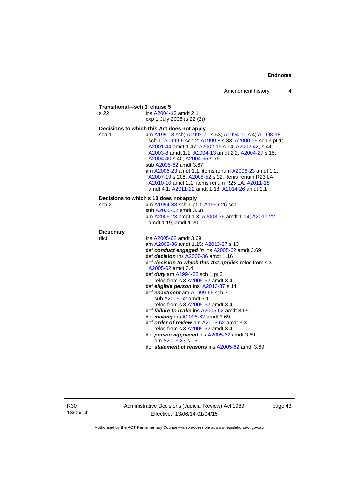|                   | ins A2004-13 amdt 2.1                                                                                                                                                                                                                                                                    |
|-------------------|------------------------------------------------------------------------------------------------------------------------------------------------------------------------------------------------------------------------------------------------------------------------------------------|
|                   | exp 1 July 2005 (s 22 (2))                                                                                                                                                                                                                                                               |
|                   | Decisions to which this Act does not apply                                                                                                                                                                                                                                               |
| sch 1             | am A1991-3 sch; A1992-71 s 53; A1994-10 s 4; A1998-18<br>sch 1; A1999-5 sch 2; A1999-8 s 33; A2000-16 sch 3 pt 1;<br>A2001-44 amdt 1.47; A2002-15 s 14; A2002-42, s 44;<br>A2003-8 amdt 1.1; A2004-13 amdt 2.2; A2004-27 s 15;<br>A2004-40 s 40; A2004-65 s 76<br>sub A2005-62 amdt 3.67 |
|                   | am A2006-23 amdt 1.1; items renum A2006-23 amdt 1.2;<br>A2007-19 s 208; A2008-52 s 12; items renum R23 LA;<br>A2010-10 amdt 2.1; items renum R25 LA; A2011-18<br>amdt 4.1; A2011-22 amdt 1.18; A2014-26 amdt 1.1                                                                         |
|                   | Decisions to which s 13 does not apply                                                                                                                                                                                                                                                   |
| sch 2             | am A1994-38 sch 1 pt 3; A1996-26 sch                                                                                                                                                                                                                                                     |
|                   | sub A2005-62 amdt 3.68                                                                                                                                                                                                                                                                   |
|                   | am A2006-23 amdt 1.3; A2008-36 amdt 1.14; A2011-22<br>amdt 1.19, amdt 1.20                                                                                                                                                                                                               |
| <b>Dictionary</b> |                                                                                                                                                                                                                                                                                          |
| dict              | ins A2005-62 amdt 3.69                                                                                                                                                                                                                                                                   |
|                   | am A2008-36 amdt 1.15; A2013-37 s 13                                                                                                                                                                                                                                                     |
|                   | def conduct engaged in ins A2005-62 amdt 3.69                                                                                                                                                                                                                                            |
|                   | def <i>decision</i> ins A2008-36 amdt 1.16                                                                                                                                                                                                                                               |
|                   | def decision to which this Act applies reloc from s 3<br>A2005-62 amdt 3.4                                                                                                                                                                                                               |
|                   | def <i>duty</i> am A1994-38 sch 1 pt 3                                                                                                                                                                                                                                                   |
|                   | reloc from s 3 A2005-62 amdt 3.4                                                                                                                                                                                                                                                         |
|                   | def eligible person ins A2013-37 s 14                                                                                                                                                                                                                                                    |
|                   | def enactment am A1999-66 sch 3                                                                                                                                                                                                                                                          |
|                   | sub A2005-62 amdt 3.1                                                                                                                                                                                                                                                                    |
|                   | reloc from s 3 A2005-62 amdt 3.4                                                                                                                                                                                                                                                         |
|                   | def <i>failure to make</i> ins A2005-62 amdt 3.69                                                                                                                                                                                                                                        |
|                   | def <i>making</i> ins $A2005-62$ amdt $3.69$<br>def order of review am A2005-62 amdt 3.3<br>reloc from s 3 A2005-62 amdt 3.4                                                                                                                                                             |
|                   |                                                                                                                                                                                                                                                                                          |
|                   | def person aggrieved ins A2005-62 amdt 3.69<br>om A2013-37 s 15                                                                                                                                                                                                                          |

R30 13/06/14 Administrative Decisions (Judicial Review) Act 1989 Effective: 13/06/14-01/04/15

page 43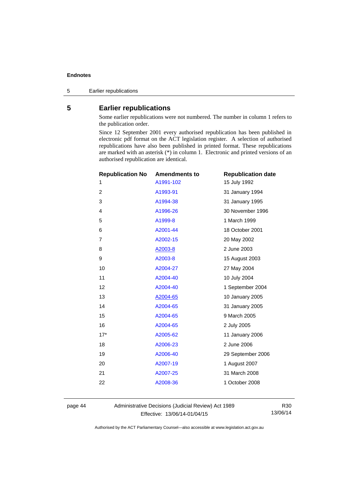5 Earlier republications

#### <span id="page-47-0"></span>**5 Earlier republications**

Some earlier republications were not numbered. The number in column 1 refers to the publication order.

Since 12 September 2001 every authorised republication has been published in electronic pdf format on the ACT legislation register. A selection of authorised republications have also been published in printed format. These republications are marked with an asterisk (\*) in column 1. Electronic and printed versions of an authorised republication are identical.

| <b>Republication No</b> | <b>Amendments to</b> | <b>Republication date</b> |
|-------------------------|----------------------|---------------------------|
| 1                       | A1991-102            | 15 July 1992              |
| $\overline{2}$          | A1993-91             | 31 January 1994           |
| 3                       | A1994-38             | 31 January 1995           |
| 4                       | A1996-26             | 30 November 1996          |
| 5                       | A1999-8              | 1 March 1999              |
| 6                       | A2001-44             | 18 October 2001           |
| 7                       | A2002-15             | 20 May 2002               |
| 8                       | A2003-8              | 2 June 2003               |
| 9                       | A2003-8              | 15 August 2003            |
| 10                      | A2004-27             | 27 May 2004               |
| 11                      | A2004-40             | 10 July 2004              |
| 12                      | A2004-40             | 1 September 2004          |
| 13                      | A2004-65             | 10 January 2005           |
| 14                      | A2004-65             | 31 January 2005           |
| 15                      | A2004-65             | 9 March 2005              |
| 16                      | A2004-65             | 2 July 2005               |
| $17*$                   | A2005-62             | 11 January 2006           |
| 18                      | A2006-23             | 2 June 2006               |
| 19                      | A2006-40             | 29 September 2006         |
| 20                      | A2007-19             | 1 August 2007             |
| 21                      | A2007-25             | 31 March 2008             |
| 22                      | A2008-36             | 1 October 2008            |
|                         |                      |                           |

page 44 Administrative Decisions (Judicial Review) Act 1989 Effective: 13/06/14-01/04/15

R30 13/06/14